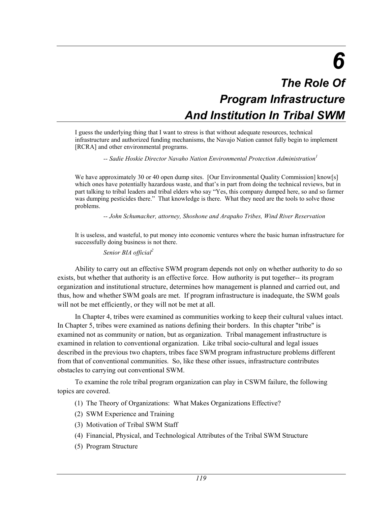# *6 The Role Of Program Infrastructure And Institution In Tribal SWM*

I guess the underlying thing that I want to stress is that without adequate resources, technical infrastructure and authorized funding mechanisms, the Navajo Nation cannot fully begin to implement [RCRA] and other environmental programs.

 *-- Sadie Hoskie Director Navaho Nation Environmental Protection Administration1* 

We have approximately 30 or 40 open dump sites. [Our Environmental Quality Commission] know[s] which ones have potentially hazardous waste, and that's in part from doing the technical reviews, but in part talking to tribal leaders and tribal elders who say "Yes, this company dumped here, so and so farmer was dumping pesticides there." That knowledge is there. What they need are the tools to solve those problems.

 *-- John Schumacher, attorney, Shoshone and Arapaho Tribes, Wind River Reservation* 

It is useless, and wasteful, to put money into economic ventures where the basic human infrastructure for successfully doing business is not there.

 *Senior BIA official2*

Ability to carry out an effective SWM program depends not only on whether authority to do so exists, but whether that authority is an effective force. How authority is put together-- its program organization and institutional structure, determines how management is planned and carried out, and thus, how and whether SWM goals are met. If program infrastructure is inadequate, the SWM goals will not be met efficiently, or they will not be met at all.

In Chapter 4, tribes were examined as communities working to keep their cultural values intact. In Chapter 5, tribes were examined as nations defining their borders. In this chapter "tribe" is examined not as community or nation, but as organization. Tribal management infrastructure is examined in relation to conventional organization. Like tribal socio-cultural and legal issues described in the previous two chapters, tribes face SWM program infrastructure problems different from that of conventional communities. So, like these other issues, infrastructure contributes obstacles to carrying out conventional SWM.

To examine the role tribal program organization can play in CSWM failure, the following topics are covered.

- (1) The Theory of Organizations: What Makes Organizations Effective?
- (2) SWM Experience and Training
- (3) Motivation of Tribal SWM Staff
- (4) Financial, Physical, and Technological Attributes of the Tribal SWM Structure
- (5) Program Structure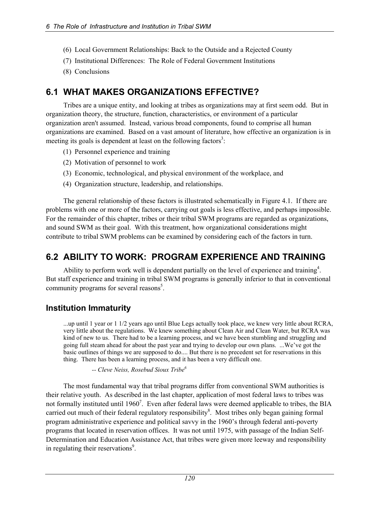- (6) Local Government Relationships: Back to the Outside and a Rejected County
- (7) Institutional Differences: The Role of Federal Government Institutions
- (8) Conclusions

# **6.1 WHAT MAKES ORGANIZATIONS EFFECTIVE?**

Tribes are a unique entity, and looking at tribes as organizations may at first seem odd. But in organization theory, the structure, function, characteristics, or environment of a particular organization aren't assumed. Instead, various broad components, found to comprise all human organizations are examined. Based on a vast amount of literature, how effective an organization is in meeting its goals is dependent at least on the following factors<sup>3</sup>:

- (1) Personnel experience and training
- (2) Motivation of personnel to work
- (3) Economic, technological, and physical environment of the workplace, and
- (4) Organization structure, leadership, and relationships.

The general relationship of these factors is illustrated schematically in Figure 4.1. If there are problems with one or more of the factors, carrying out goals is less effective, and perhaps impossible. For the remainder of this chapter, tribes or their tribal SWM programs are regarded as organizations, and sound SWM as their goal. With this treatment, how organizational considerations might contribute to tribal SWM problems can be examined by considering each of the factors in turn.

# **6.2 ABILITY TO WORK: PROGRAM EXPERIENCE AND TRAINING**

Ability to perform work well is dependent partially on the level of experience and training<sup>4</sup>. But staff experience and training in tribal SWM programs is generally inferior to that in conventional community programs for several reasons<sup>5</sup>.

# **Institution Immaturity**

...up until 1 year or 1 1/2 years ago until Blue Legs actually took place, we knew very little about RCRA, very little about the regulations. We knew something about Clean Air and Clean Water, but RCRA was kind of new to us. There had to be a learning process, and we have been stumbling and struggling and going full steam ahead for about the past year and trying to develop our own plans. ...We've got the basic outlines of things we are supposed to do.... But there is no precedent set for reservations in this thing. There has been a learning process, and it has been a very difficult one.

 *-- Cleve Neiss, Rosebud Sioux Tribe6*

The most fundamental way that tribal programs differ from conventional SWM authorities is their relative youth. As described in the last chapter, application of most federal laws to tribes was not formally instituted until 1960<sup>7</sup>. Even after federal laws were deemed applicable to tribes, the BIA carried out much of their federal regulatory responsibility<sup>8</sup>. Most tribes only began gaining formal program administrative experience and political savvy in the 1960's through federal anti-poverty programs that located in reservation offices. It was not until 1975, with passage of the Indian Self-Determination and Education Assistance Act, that tribes were given more leeway and responsibility in regulating their reservations<sup>9</sup>.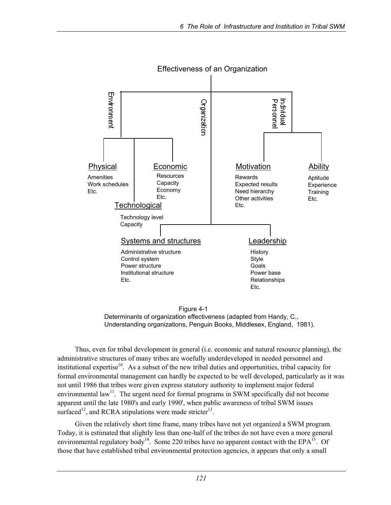

Effectiveness of an Organization

 Figure 4-1 Determinants of organization effectiveness (adapted from Handy, C., Understanding organizations, Penguin Books, Middlesex, England, 1981).

Thus, even for tribal development in general (i.e. economic and natural resource planning), the administrative structures of many tribes are woefully underdeveloped in needed personnel and institutional expertise $10$ . As a subset of the new tribal duties and opportunities, tribal capacity for formal environmental management can hardly be expected to be well developed, particularly as it was not until 1986 that tribes were given express statutory authority to implement major federal environmental  $law<sup>11</sup>$ . The urgent need for formal programs in SWM specifically did not become apparent until the late 1980's and early 1990', when public awareness of tribal SWM issues surfaced<sup>12</sup>, and RCRA stipulations were made stricter<sup>13</sup>.

Given the relatively short time frame, many tribes have not yet organized a SWM program. Today, it is estimated that slightly less than one-half of the tribes do not have even a more general environmental regulatory body<sup>14</sup>. Some 220 tribes have no apparent contact with the EPA<sup>15</sup>. Of those that have established tribal environmental protection agencies, it appears that only a small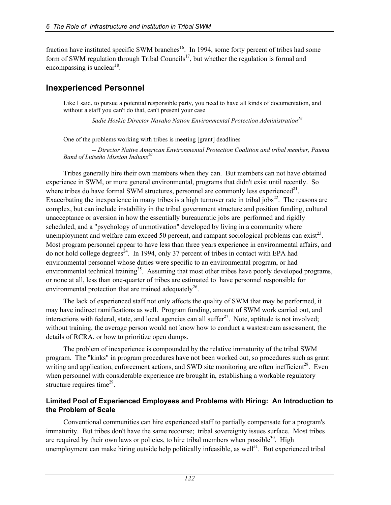fraction have instituted specific SWM branches<sup>16</sup>. In 1994, some forty percent of tribes had some form of SWM regulation through Tribal Councils<sup>17</sup>, but whether the regulation is formal and encompassing is unclear<sup>18</sup>.

### **Inexperienced Personnel**

Like I said, to pursue a potential responsible party, you need to have all kinds of documentation, and without a staff you can't do that, can't present your case

 *Sadie Hoskie Director Navaho Nation Environmental Protection Administration19* 

One of the problems working with tribes is meeting [grant] deadlines

 *-- Director Native American Environmental Protection Coalition and tribal member, Pauma Band of Luiseño Mission Indians20* 

Tribes generally hire their own members when they can. But members can not have obtained experience in SWM, or more general environmental, programs that didn't exist until recently. So where tribes do have formal SWM structures, personnel are commonly less experienced<sup>21</sup>. Exacerbating the inexperience in many tribes is a high turnover rate in tribal jobs<sup>22</sup>. The reasons are complex, but can include instability in the tribal government structure and position funding, cultural unacceptance or aversion in how the essentially bureaucratic jobs are performed and rigidly scheduled, and a "psychology of unmotivation" developed by living in a community where unemployment and welfare cam exceed 50 percent, and rampant sociological problems can exist<sup>23</sup>. Most program personnel appear to have less than three years experience in environmental affairs, and do not hold college degrees<sup>24</sup>. In 1994, only 37 percent of tribes in contact with EPA had environmental personnel whose duties were specific to an environmental program, or had environmental technical training<sup>25</sup>. Assuming that most other tribes have poorly developed programs, or none at all, less than one-quarter of tribes are estimated to have personnel responsible for environmental protection that are trained adequately<sup>26</sup>.

The lack of experienced staff not only affects the quality of SWM that may be performed, it may have indirect ramifications as well. Program funding, amount of SWM work carried out, and interactions with federal, state, and local agencies can all suffer<sup>27</sup>. Note, aptitude is not involved; without training, the average person would not know how to conduct a wastestream assessment, the details of RCRA, or how to prioritize open dumps.

The problem of inexperience is compounded by the relative immaturity of the tribal SWM program. The "kinks" in program procedures have not been worked out, so procedures such as grant writing and application, enforcement actions, and SWD site monitoring are often inefficient<sup>28</sup>. Even when personnel with considerable experience are brought in, establishing a workable regulatory structure requires time $^{29}$ .

### **Limited Pool of Experienced Employees and Problems with Hiring: An Introduction to the Problem of Scale**

Conventional communities can hire experienced staff to partially compensate for a program's immaturity. But tribes don't have the same recourse; tribal sovereignty issues surface. Most tribes are required by their own laws or policies, to hire tribal members when possible $30$ . High unemployment can make hiring outside help politically infeasible, as well $^{31}$ . But experienced tribal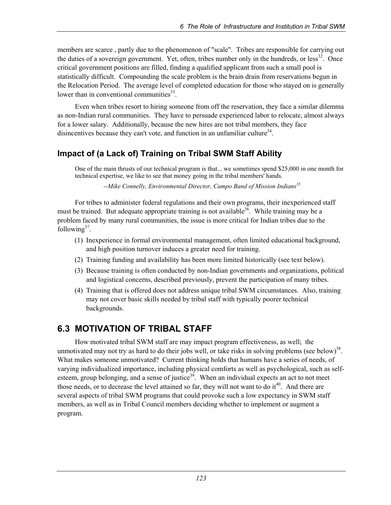members are scarce , partly due to the phenomenon of "scale". Tribes are responsible for carrying out the duties of a sovereign government. Yet, often, tribes number only in the hundreds, or less<sup>32</sup>. Once critical government positions are filled, finding a qualified applicant from such a small pool is statistically difficult. Compounding the scale problem is the brain drain from reservations begun in the Relocation Period. The average level of completed education for those who stayed on is generally lower than in conventional communities $33$ .

Even when tribes resort to hiring someone from off the reservation, they face a similar dilemma as non-Indian rural communities. They have to persuade experienced labor to relocate, almost always for a lower salary. Additionally, because the new hires are not tribal members, they face disincentives because they can't vote, and function in an unfamiliar culture<sup>34</sup>.

# **Impact of (a Lack of) Training on Tribal SWM Staff Ability**

One of the main thrusts of our technical program is that... we sometimes spend \$25,000 in one month for technical expertise, we like to see that money going in the tribal members' hands.

 *--Mike Connelly, Environmental Director, Campo Band of Mission Indians35*

For tribes to administer federal regulations and their own programs, their inexperienced staff must be trained. But adequate appropriate training is not available<sup>36</sup>. While training may be a problem faced by many rural communities, the issue is more critical for Indian tribes due to the following $37$ .

- (1) Inexperience in formal environmental management, often limited educational background, and high position turnover induces a greater need for training.
- (2) Training funding and availability has been more limited historically (see text below).
- (3) Because training is often conducted by non-Indian governments and organizations, political and logistical concerns, described previously, prevent the participation of many tribes.
- (4) Training that is offered does not address unique tribal SWM circumstances. Also, training may not cover basic skills needed by tribal staff with typically poorer technical backgrounds.

# **6.3 MOTIVATION OF TRIBAL STAFF**

How motivated tribal SWM staff are may impact program effectiveness, as well; the unmotivated may not try as hard to do their jobs well, or take risks in solving problems (see below) $38$ . What makes someone unmotivated? Current thinking holds that humans have a series of needs, of varying individualized importance, including physical comforts as well as psychological, such as selfesteem, group belonging, and a sense of justice<sup>39</sup>. When an individual expects an act to not meet those needs, or to decrease the level attained so far, they will not want to do it $^{40}$ . And there are several aspects of tribal SWM programs that could provoke such a low expectancy in SWM staff members, as well as in Tribal Council members deciding whether to implement or augment a program.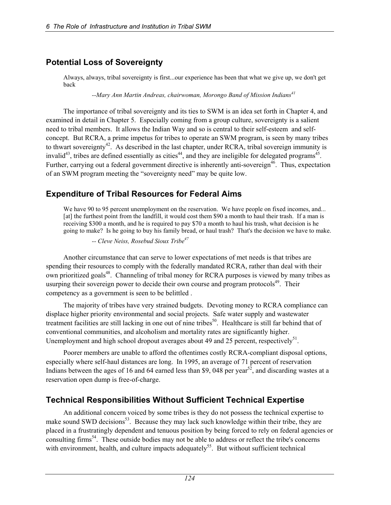# **Potential Loss of Sovereignty**

Always, always, tribal sovereignty is first...our experience has been that what we give up, we don't get back

 *--Mary Ann Martin Andreas, chairwoman, Morongo Band of Mission Indians41*

The importance of tribal sovereignty and its ties to SWM is an idea set forth in Chapter 4, and examined in detail in Chapter 5. Especially coming from a group culture, sovereignty is a salient need to tribal members. It allows the Indian Way and so is central to their self-esteem and selfconcept. But RCRA, a prime impetus for tribes to operate an SWM program, is seen by many tribes to thwart sovereignty<sup>42</sup>. As described in the last chapter, under RCRA, tribal sovereign immunity is invalid<sup>43</sup>, tribes are defined essentially as cities<sup>44</sup>, and they are ineligible for delegated programs<sup>45</sup>. Further, carrying out a federal government directive is inherently anti-sovereign<sup>46</sup>. Thus, expectation of an SWM program meeting the "sovereignty need" may be quite low.

# **Expenditure of Tribal Resources for Federal Aims**

We have 90 to 95 percent unemployment on the reservation. We have people on fixed incomes, and... [at] the furthest point from the landfill, it would cost them \$90 a month to haul their trash. If a man is receiving \$300 a month, and he is required to pay \$70 a month to haul his trash, what decision is he going to make? Is he going to buy his family bread, or haul trash? That's the decision we have to make.

 *-- Cleve Neiss, Rosebud Sioux Tribe47*

Another circumstance that can serve to lower expectations of met needs is that tribes are spending their resources to comply with the federally mandated RCRA, rather than deal with their own prioritized goals<sup>48</sup>. Channeling of tribal money for RCRA purposes is viewed by many tribes as usurping their sovereign power to decide their own course and program protocols<sup>49</sup>. Their competency as a government is seen to be belittled .

The majority of tribes have very strained budgets. Devoting money to RCRA compliance can displace higher priority environmental and social projects. Safe water supply and wastewater treatment facilities are still lacking in one out of nine tribes<sup>50</sup>. Healthcare is still far behind that of conventional communities, and alcoholism and mortality rates are significantly higher. Unemployment and high school dropout averages about 49 and 25 percent, respectively<sup>51</sup>.

Poorer members are unable to afford the oftentimes costly RCRA-compliant disposal options, especially where self-haul distances are long. In 1995, an average of 71 percent of reservation Indians between the ages of 16 and 64 earned less than \$9, 048 per year<sup>52</sup>, and discarding wastes at a reservation open dump is free-of-charge.

# **Technical Responsibilities Without Sufficient Technical Expertise**

An additional concern voiced by some tribes is they do not possess the technical expertise to make sound SWD decisions<sup>53</sup>. Because they may lack such knowledge within their tribe, they are placed in a frustratingly dependent and tenuous position by being forced to rely on federal agencies or consulting firms<sup>54</sup>. These outside bodies may not be able to address or reflect the tribe's concerns with environment, health, and culture impacts adequately<sup>55</sup>. But without sufficient technical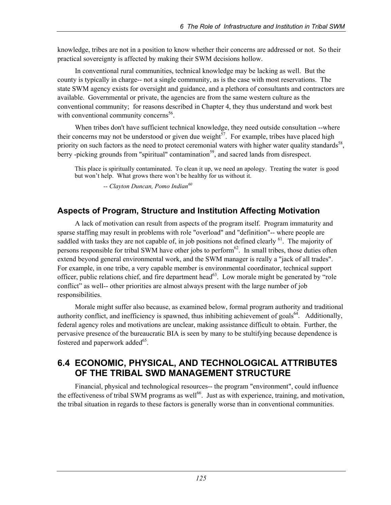knowledge, tribes are not in a position to know whether their concerns are addressed or not. So their practical sovereignty is affected by making their SWM decisions hollow.

In conventional rural communities, technical knowledge may be lacking as well. But the county is typically in charge-- not a single community, as is the case with most reservations. The state SWM agency exists for oversight and guidance, and a plethora of consultants and contractors are available. Governmental or private, the agencies are from the same western culture as the conventional community; for reasons described in Chapter 4, they thus understand and work best with conventional community concerns<sup>56</sup>.

When tribes don't have sufficient technical knowledge, they need outside consultation --where their concerns may not be understood or given due weight<sup>57</sup>. For example, tribes have placed high priority on such factors as the need to protect ceremonial waters with higher water quality standards<sup>58</sup>, berry -picking grounds from "spiritual" contamination<sup>59</sup>, and sacred lands from disrespect.

This place is spiritually contaminated. To clean it up, we need an apology. Treating the water is good but won't help. What grows there won't be healthy for us without it.

 *-- Clayton Duncan, Pomo Indian<sup>60</sup>*

# **Aspects of Program, Structure and Institution Affecting Motivation**

A lack of motivation can result from aspects of the program itself. Program immaturity and sparse staffing may result in problems with role "overload" and "definition"-- where people are saddled with tasks they are not capable of, in job positions not defined clearly  $^{61}$ . The majority of persons responsible for tribal SWM have other jobs to perform<sup>62</sup>. In small tribes, those duties often extend beyond general environmental work, and the SWM manager is really a "jack of all trades". For example, in one tribe, a very capable member is environmental coordinator, technical support officer, public relations chief, and fire department head<sup>63</sup>. Low morale might be generated by "role" conflict" as well-- other priorities are almost always present with the large number of job responsibilities.

Morale might suffer also because, as examined below, formal program authority and traditional authority conflict, and inefficiency is spawned, thus inhibiting achievement of goals<sup>64</sup>. Additionally, federal agency roles and motivations are unclear, making assistance difficult to obtain. Further, the pervasive presence of the bureaucratic BIA is seen by many to be stultifying because dependence is fostered and paperwork added<sup>65</sup>.

# **6.4 ECONOMIC, PHYSICAL, AND TECHNOLOGICAL ATTRIBUTES OF THE TRIBAL SWD MANAGEMENT STRUCTURE**

Financial, physical and technological resources-- the program "environment", could influence the effectiveness of tribal SWM programs as well<sup>66</sup>. Just as with experience, training, and motivation, the tribal situation in regards to these factors is generally worse than in conventional communities.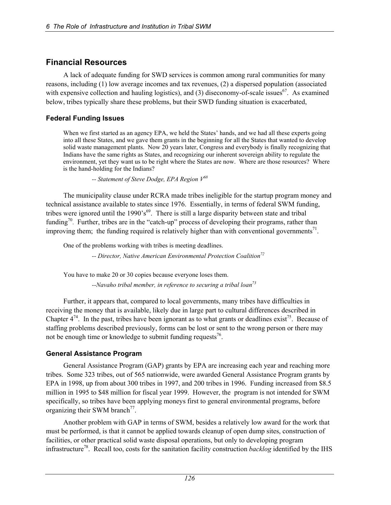# **Financial Resources**

A lack of adequate funding for SWD services is common among rural communities for many reasons, including (1) low average incomes and tax revenues, (2) a dispersed population (associated with expensive collection and hauling logistics), and (3) diseconomy-of-scale issues<sup>67</sup>. As examined below, tribes typically share these problems, but their SWD funding situation is exacerbated,

### **Federal Funding Issues**

When we first started as an agency EPA, we held the States' hands, and we had all these experts going into all these States, and we gave them grants in the beginning for all the States that wanted to develop solid waste management plants. Now 20 years later, Congress and everybody is finally recognizing that Indians have the same rights as States, and recognizing our inherent sovereign ability to regulate the environment, yet they want us to be right where the States are now. Where are those resources? Where is the hand-holding for the Indians?

 *-- Statement of Steve Dodge, EPA Region V68*

The municipality clause under RCRA made tribes ineligible for the startup program money and technical assistance available to states since 1976. Essentially, in terms of federal SWM funding, tribes were ignored until the  $1990's<sup>69</sup>$ . There is still a large disparity between state and tribal funding<sup>70</sup>. Further, tribes are in the "catch-up" process of developing their programs, rather than improving them; the funding required is relatively higher than with conventional governments<sup>71</sup>.

One of the problems working with tribes is meeting deadlines.

 *-- Director, Native American Environmental Protection Coalition72*

You have to make 20 or 30 copies because everyone loses them.

 *--Navaho tribal member, in reference to securing a tribal loan73*

Further, it appears that, compared to local governments, many tribes have difficulties in receiving the money that is available, likely due in large part to cultural differences described in Chapter  $4^{74}$ . In the past, tribes have been ignorant as to what grants or deadlines exist<sup>75</sup>. Because of staffing problems described previously, forms can be lost or sent to the wrong person or there may not be enough time or knowledge to submit funding requests<sup>76</sup>.

### **General Assistance Program**

General Assistance Program (GAP) grants by EPA are increasing each year and reaching more tribes. Some 323 tribes, out of 565 nationwide, were awarded General Assistance Program grants by EPA in 1998, up from about 300 tribes in 1997, and 200 tribes in 1996. Funding increased from \$8.5 million in 1995 to \$48 million for fiscal year 1999. However, the program is not intended for SWM specifically, so tribes have been applying moneys first to general environmental programs, before organizing their SWM branch<sup>77</sup>.

Another problem with GAP in terms of SWM, besides a relatively low award for the work that must be performed, is that it cannot be applied towards cleanup of open dump sites, construction of facilities, or other practical solid waste disposal operations, but only to developing program infrastructure78. Recall too, costs for the sanitation facility construction *backlog* identified by the IHS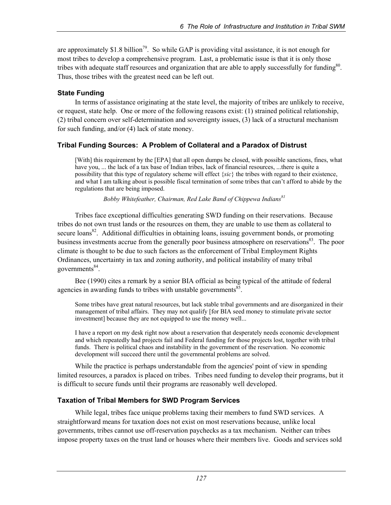are approximately \$1.8 billion<sup>79</sup>. So while GAP is providing vital assistance, it is not enough for most tribes to develop a comprehensive program. Last, a problematic issue is that it is only those tribes with adequate staff resources and organization that are able to apply successfully for funding<sup>80</sup>. Thus, those tribes with the greatest need can be left out.

### **State Funding**

In terms of assistance originating at the state level, the majority of tribes are unlikely to receive, or request, state help. One or more of the following reasons exist: (1) strained political relationship, (2) tribal concern over self-determination and sovereignty issues, (3) lack of a structural mechanism for such funding, and/or (4) lack of state money.

### **Tribal Funding Sources: A Problem of Collateral and a Paradox of Distrust**

[With] this requirement by the [EPA] that all open dumps be closed, with possible sanctions, fines, what have you, ... the lack of a tax base of Indian tribes, lack of financial resources, ...there is quite a possibility that this type of regulatory scheme will effect {*sic*} the tribes with regard to their existence, and what I am talking about is possible fiscal termination of some tribes that can't afford to abide by the regulations that are being imposed.

*Bobby Whitefeather, Chairman, Red Lake Band of Chippewa Indians*<sup>81</sup>

Tribes face exceptional difficulties generating SWD funding on their reservations. Because tribes do not own trust lands or the resources on them, they are unable to use them as collateral to secure loans<sup>82</sup>. Additional difficulties in obtaining loans, issuing government bonds, or promoting business investments accrue from the generally poor business atmosphere on reservations<sup>83</sup>. The poor climate is thought to be due to such factors as the enforcement of Tribal Employment Rights Ordinances, uncertainty in tax and zoning authority, and political instability of many tribal governments $84$ .

Bee (1990) cites a remark by a senior BIA official as being typical of the attitude of federal agencies in awarding funds to tribes with unstable governments<sup>85</sup>.

Some tribes have great natural resources, but lack stable tribal governments and are disorganized in their management of tribal affairs. They may not qualify [for BIA seed money to stimulate private sector investment] because they are not equipped to use the money well...

I have a report on my desk right now about a reservation that desperately needs economic development and which repeatedly had projects fail and Federal funding for those projects lost, together with tribal funds. There is political chaos and instability in the government of the reservation. No economic development will succeed there until the governmental problems are solved.

While the practice is perhaps understandable from the agencies' point of view in spending limited resources, a paradox is placed on tribes. Tribes need funding to develop their programs, but it is difficult to secure funds until their programs are reasonably well developed.

### **Taxation of Tribal Members for SWD Program Services**

While legal, tribes face unique problems taxing their members to fund SWD services. A straightforward means for taxation does not exist on most reservations because, unlike local governments, tribes cannot use off-reservation paychecks as a tax mechanism. Neither can tribes impose property taxes on the trust land or houses where their members live. Goods and services sold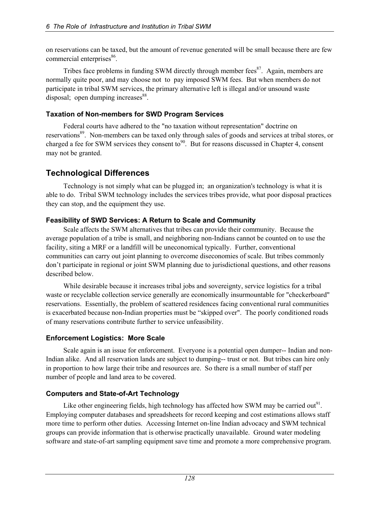on reservations can be taxed, but the amount of revenue generated will be small because there are few commercial enterprises<sup>86</sup>.

Tribes face problems in funding SWM directly through member fees<sup>87</sup>. Again, members are normally quite poor, and may choose not to pay imposed SWM fees. But when members do not participate in tribal SWM services, the primary alternative left is illegal and/or unsound waste disposal; open dumping increases $88$ .

### **Taxation of Non-members for SWD Program Services**

Federal courts have adhered to the "no taxation without representation" doctrine on reservations<sup>89</sup>. Non-members can be taxed only through sales of goods and services at tribal stores, or charged a fee for SWM services they consent to<sup>90</sup>. But for reasons discussed in Chapter 4, consent may not be granted.

# **Technological Differences**

Technology is not simply what can be plugged in; an organization's technology is what it is able to do. Tribal SWM technology includes the services tribes provide, what poor disposal practices they can stop, and the equipment they use.

### **Feasibility of SWD Services: A Return to Scale and Community**

Scale affects the SWM alternatives that tribes can provide their community. Because the average population of a tribe is small, and neighboring non-Indians cannot be counted on to use the facility, siting a MRF or a landfill will be uneconomical typically. Further, conventional communities can carry out joint planning to overcome diseconomies of scale. But tribes commonly don't participate in regional or joint SWM planning due to jurisdictional questions, and other reasons described below.

While desirable because it increases tribal jobs and sovereignty, service logistics for a tribal waste or recyclable collection service generally are economically insurmountable for "checkerboard" reservations. Essentially, the problem of scattered residences facing conventional rural communities is exacerbated because non-Indian properties must be "skipped over". The poorly conditioned roads of many reservations contribute further to service unfeasibility.

### **Enforcement Logistics: More Scale**

Scale again is an issue for enforcement. Everyone is a potential open dumper-- Indian and non-Indian alike. And all reservation lands are subject to dumping-- trust or not. But tribes can hire only in proportion to how large their tribe and resources are. So there is a small number of staff per number of people and land area to be covered.

### **Computers and State-of-Art Technology**

Like other engineering fields, high technology has affected how SWM may be carried out<sup>91</sup>. Employing computer databases and spreadsheets for record keeping and cost estimations allows staff more time to perform other duties. Accessing Internet on-line Indian advocacy and SWM technical groups can provide information that is otherwise practically unavailable. Ground water modeling software and state-of-art sampling equipment save time and promote a more comprehensive program.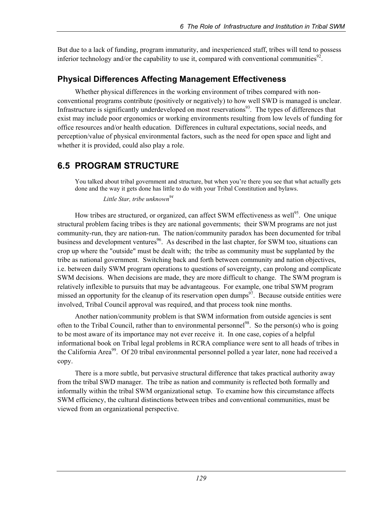But due to a lack of funding, program immaturity, and inexperienced staff, tribes will tend to possess inferior technology and/or the capability to use it, compared with conventional communities<sup>92</sup>.

# **Physical Differences Affecting Management Effectiveness**

Whether physical differences in the working environment of tribes compared with nonconventional programs contribute (positively or negatively) to how well SWD is managed is unclear. Infrastructure is significantly underdeveloped on most reservations<sup>93</sup>. The types of differences that exist may include poor ergonomics or working environments resulting from low levels of funding for office resources and/or health education. Differences in cultural expectations, social needs, and perception/value of physical environmental factors, such as the need for open space and light and whether it is provided, could also play a role.

# **6.5 PROGRAM STRUCTURE**

You talked about tribal government and structure, but when you're there you see that what actually gets done and the way it gets done has little to do with your Tribal Constitution and bylaws.

 *Little Star, tribe unknown94*

How tribes are structured, or organized, can affect SWM effectiveness as well<sup>95</sup>. One unique structural problem facing tribes is they are national governments; their SWM programs are not just community-run, they are nation-run. The nation/community paradox has been documented for tribal business and development ventures<sup>96</sup>. As described in the last chapter, for SWM too, situations can crop up where the "outside" must be dealt with; the tribe as community must be supplanted by the tribe as national government. Switching back and forth between community and nation objectives, i.e. between daily SWM program operations to questions of sovereignty, can prolong and complicate SWM decisions. When decisions are made, they are more difficult to change. The SWM program is relatively inflexible to pursuits that may be advantageous. For example, one tribal SWM program missed an opportunity for the cleanup of its reservation open dumps<sup>97</sup>. Because outside entities were involved, Tribal Council approval was required, and that process took nine months.

Another nation/community problem is that SWM information from outside agencies is sent often to the Tribal Council, rather than to environmental personnel<sup>98</sup>. So the person(s) who is going to be most aware of its importance may not ever receive it. In one case, copies of a helpful informational book on Tribal legal problems in RCRA compliance were sent to all heads of tribes in the California Area<sup>99</sup>. Of 20 tribal environmental personnel polled a year later, none had received a copy.

There is a more subtle, but pervasive structural difference that takes practical authority away from the tribal SWD manager. The tribe as nation and community is reflected both formally and informally within the tribal SWM organizational setup. To examine how this circumstance affects SWM efficiency, the cultural distinctions between tribes and conventional communities, must be viewed from an organizational perspective.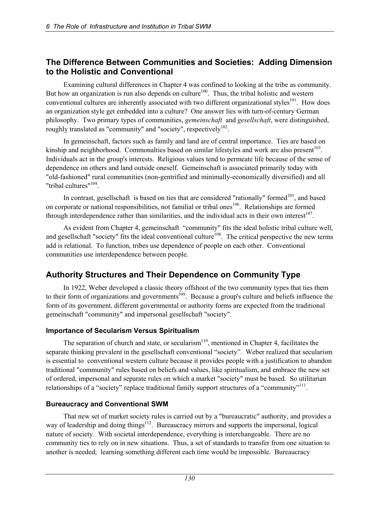## **The Difference Between Communities and Societies: Adding Dimension to the Holistic and Conventional**

Examining cultural differences in Chapter 4 was confined to looking at the tribe as community. But how an organization is run also depends on culture<sup>100</sup>. Thus, the tribal holistic and western conventional cultures are inherently associated with two different organizational styles<sup>101</sup>. How does an organization style get embedded into a culture? One answer lies with turn-of-century German philosophy. Two primary types of communities, *gemeinschaft* and *gesellschaft*, were distinguished, roughly translated as "community" and "society", respectively $102$ .

In gemeinschaft, factors such as family and land are of central importance. Ties are based on kinship and neighborhood. Commonalties based on similar lifestyles and work are also present<sup>103</sup>. Individuals act in the group's interests. Religious values tend to permeate life because of the sense of dependence on others and land outside oneself. Gemeinschaft is associated primarily today with "old-fashioned" rural communities (non-gentrified and minimally-economically diversified) and all "tribal cultures"<sup>104</sup>.

In contrast, gesellschaft is based on ties that are considered "rationally" formed<sup>105</sup>, and based on corporate or national responsibilities, not familial or tribal ones<sup>106</sup>. Relationships are formed through interdependence rather than similarities, and the individual acts in their own interest<sup>107</sup>.

As evident from Chapter 4, gemeinschaft "community" fits the ideal holistic tribal culture well, and gesellschaft "society" fits the ideal conventional culture<sup> $108$ </sup>. The critical perspective the new terms add is relational. To function, tribes use dependence of people on each other. Conventional communities use interdependence between people.

# **Authority Structures and Their Dependence on Community Type**

In 1922, Weber developed a classic theory offshoot of the two community types that ties them to their form of organizations and governments<sup>109</sup>. Because a group's culture and beliefs influence the form of its government, different governmental or authority forms are expected from the traditional gemeinschaft "community" and impersonal gesellschaft "society".

### **Importance of Secularism Versus Spiritualism**

The separation of church and state, or secularism<sup>110</sup>, mentioned in Chapter 4, facilitates the separate thinking prevalent in the gesellschaft conventional "society". Weber realized that secularism is essential to conventional western culture because it provides people with a justification to abandon traditional "community" rules based on beliefs and values, like spiritualism, and embrace the new set of ordered, impersonal and separate rules on which a market "society" must be based. So utilitarian relationships of a "society" replace traditional family support structures of a "community"<sup>111</sup>.

### **Bureaucracy and Conventional SWM**

That new set of market society rules is carried out by a "bureaucratic" authority, and provides a way of leadership and doing things<sup>112</sup>. Bureaucracy mirrors and supports the impersonal, logical nature of society. With societal interdependence, everything is interchangeable. There are no community ties to rely on in new situations. Thus, a set of standards to transfer from one situation to another is needed; learning something different each time would be impossible. Bureaucracy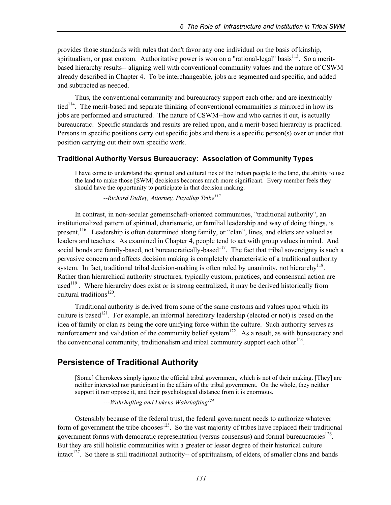provides those standards with rules that don't favor any one individual on the basis of kinship, spiritualism, or past custom. Authoritative power is won on a "rational-legal" basis<sup>113</sup>. So a meritbased hierarchy results-- aligning well with conventional community values and the nature of CSWM already described in Chapter 4. To be interchangeable, jobs are segmented and specific, and added and subtracted as needed.

Thus, the conventional community and bureaucracy support each other and are inextricably tied<sup>114</sup>. The merit-based and separate thinking of conventional communities is mirrored in how its jobs are performed and structured. The nature of CSWM--how and who carries it out, is actually bureaucratic. Specific standards and results are relied upon, and a merit-based hierarchy is practiced. Persons in specific positions carry out specific jobs and there is a specific person(s) over or under that position carrying out their own specific work.

### **Traditional Authority Versus Bureaucracy: Association of Community Types**

I have come to understand the spiritual and cultural ties of the Indian people to the land, the ability to use the land to make those [SWM] decisions becomes much more significant. Every member feels they should have the opportunity to participate in that decision making.

 *--Richard DuBey, Attorney, Puyallup Tribe115*

In contrast, in non-secular gemeinschaft-oriented communities, "traditional authority", an institutionalized pattern of spiritual, charismatic, or familial leadership and way of doing things, is present,<sup>116</sup>. Leadership is often determined along family, or "clan", lines, and elders are valued as leaders and teachers. As examined in Chapter 4, people tend to act with group values in mind. And social bonds are family-based, not bureaucratically-based<sup>117</sup>. The fact that tribal sovereignty is such a pervasive concern and affects decision making is completely characteristic of a traditional authority system. In fact, traditional tribal decision-making is often ruled by unanimity, not hierarchy<sup>118</sup>. Rather than hierarchical authority structures, typically custom, practices, and consensual action are used<sup>119</sup>. Where hierarchy does exist or is strong centralized, it may be derived historically from cultural traditions $120$ .

Traditional authority is derived from some of the same customs and values upon which its culture is based<sup>121</sup>. For example, an informal hereditary leadership (elected or not) is based on the idea of family or clan as being the core unifying force within the culture. Such authority serves as reinforcement and validation of the community belief system<sup>122</sup>. As a result, as with bureaucracy and the conventional community, traditionalism and tribal community support each other<sup>123</sup>.

# **Persistence of Traditional Authority**

[Some] Cherokees simply ignore the official tribal government, which is not of their making. [They] are neither interested nor participant in the affairs of the tribal government. On the whole, they neither support it nor oppose it, and their psychological distance from it is enormous.

 *---Wahrhafting and Lukens-Wahrhafting124*

Ostensibly because of the federal trust, the federal government needs to authorize whatever form of government the tribe chooses<sup>125</sup>. So the vast majority of tribes have replaced their traditional government forms with democratic representation (versus consensus) and formal bureaucracies<sup>126</sup>. But they are still holistic communities with a greater or lesser degree of their historical culture intact<sup>127</sup>. So there is still traditional authority-- of spiritualism, of elders, of smaller clans and bands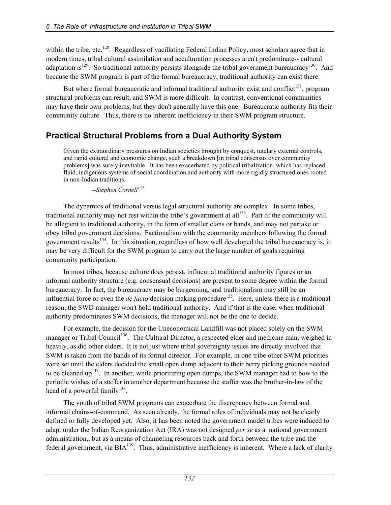within the tribe, etc.<sup>128</sup>. Regardless of vacillating Federal Indian Policy, most scholars agree that in modern times, tribal cultural assimilation and acculturation processes aren't predominate-- cultural adaptation is<sup>129</sup>. So traditional authority persists alongside the tribal government bureaucracy<sup>130</sup>. And because the SWM program is part of the formal bureaucracy, traditional authority can exist there.

But where formal bureaucratic and informal traditional authority exist and conflict<sup>131</sup>, program structural problems can result, and SWM is more difficult. In contrast, conventional communities may have their own problems, but they don't generally have this one. Bureaucratic authority fits their community culture. Thus, there is no inherent inefficiency in their SWM program structure.

# **Practical Structural Problems from a Dual Authority System**

Given the extraordinary pressures on Indian societies brought by conquest, tutelary external controls, and rapid cultural and economic change, such a breakdown [in tribal consensus over community problems] was surely inevitable. It has been exacerbated by political tribalization, which has replaced fluid, indigenous systems of social coordination and authority with more rigidly structured ones rooted in non-Indian traditions.

--Stephen Cornell<sup>132</sup>

The dynamics of traditional versus legal structural authority are complex. In some tribes, traditional authority may not rest within the tribe's government at all<sup>133</sup>. Part of the community will be allegient to traditional authority, in the form of smaller clans or bands, and may not partake or obey tribal government decisions. Factionalism with the community members following the formal government results<sup>134</sup>. In this situation, regardless of how well developed the tribal bureaucracy is, it may be very difficult for the SWM program to carry out the large number of goals requiring community participation.

In most tribes, because culture does persist, influential traditional authority figures or an informal authority structure (e.g. consensual decisions) are present to some degree within the formal bureaucracy. In fact, the bureaucracy may be burgeoning, and traditionalism may still be an influential force or even the *de facto* decision making procedure<sup>135</sup>. Here, unless there is a traditional reason, the SWD manager won't hold traditional authority. And if that is the case, when traditional authority predominates SWM decisions, the manager will not be the one to decide.

For example, the decision for the Uneconomical Landfill was not placed solely on the SWM manager or Tribal Council<sup>136</sup>. The Cultural Director, a respected elder and medicine man, weighed in heavily, as did other elders. It is not just where tribal sovereignty issues are directly involved that SWM is taken from the hands of its formal director. For example, in one tribe other SWM priorities were set until the elders decided the small open dump adjacent to their berry picking grounds needed to be cleaned up<sup>137</sup>. In another, while prioritizing open dumps, the SWM manager had to bow to the periodic wishes of a staffer in another department because the staffer was the brother-in-law of the head of a powerful family<sup>138</sup>.

The youth of tribal SWM programs can exacerbate the discrepancy between formal and informal chains-of-command. As seen already, the formal roles of individuals may not be clearly defined or fully developed yet. Also, it has been noted the government model tribes were induced to adapt under the Indian Reorganization Act (IRA) was not designed *per se* as a national government administration,, but as a means of channeling resources back and forth between the tribe and the federal government, via BIA<sup>139</sup>. Thus, administrative inefficiency is inherent. Where a lack of clarity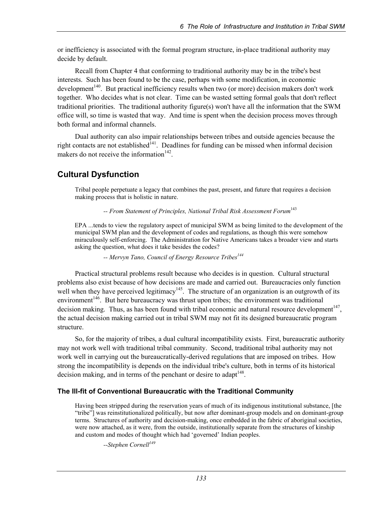or inefficiency is associated with the formal program structure, in-place traditional authority may decide by default.

Recall from Chapter 4 that conforming to traditional authority may be in the tribe's best interests. Such has been found to be the case, perhaps with some modification, in economic development<sup>140</sup>. But practical inefficiency results when two (or more) decision makers don't work together. Who decides what is not clear. Time can be wasted setting formal goals that don't reflect traditional priorities. The traditional authority figure(s) won't have all the information that the SWM office will, so time is wasted that way. And time is spent when the decision process moves through both formal and informal channels.

Dual authority can also impair relationships between tribes and outside agencies because the right contacts are not established<sup> $141$ </sup>. Deadlines for funding can be missed when informal decision makers do not receive the information  $142$ .

# **Cultural Dysfunction**

Tribal people perpetuate a legacy that combines the past, present, and future that requires a decision making process that is holistic in nature.

 *-- From Statement of Principles, National Tribal Risk Assessment Forum*<sup>143</sup>

EPA ...tends to view the regulatory aspect of municipal SWM as being limited to the development of the municipal SWM plan and the development of codes and regulations, as though this were somehow miraculously self-enforcing. The Administration for Native Americans takes a broader view and starts asking the question, what does it take besides the codes?

 *-- Mervyn Tano, Council of Energy Resource Tribes144*

Practical structural problems result because who decides is in question. Cultural structural problems also exist because of how decisions are made and carried out. Bureaucracies only function well when they have perceived legitimacy<sup>145</sup>. The structure of an organization is an outgrowth of its environment<sup>146</sup>. But here bureaucracy was thrust upon tribes; the environment was traditional decision making. Thus, as has been found with tribal economic and natural resource development<sup>147</sup>, the actual decision making carried out in tribal SWM may not fit its designed bureaucratic program structure.

So, for the majority of tribes, a dual cultural incompatibility exists. First, bureaucratic authority may not work well with traditional tribal community. Second, traditional tribal authority may not work well in carrying out the bureaucratically-derived regulations that are imposed on tribes. How strong the incompatibility is depends on the individual tribe's culture, both in terms of its historical decision making, and in terms of the penchant or desire to adapt<sup>148</sup>.

### **The Ill-fit of Conventional Bureaucratic with the Traditional Community**

Having been stripped during the reservation years of much of its indigenous institutional substance, [the "tribe"] was reinstitutionalized politically, but now after dominant-group models and on dominant-group terms. Structures of authority and decision-making, once embedded in the fabric of aboriginal societies, were now attached, as it were, from the outside, institutionally separate from the structures of kinship and custom and modes of thought which had 'governed' Indian peoples.

--Stephen Cornell<sup>149</sup>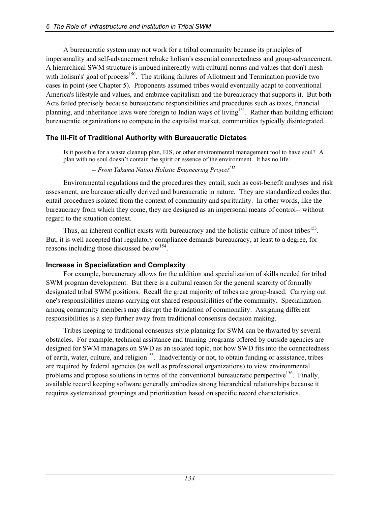A bureaucratic system may not work for a tribal community because its principles of impersonality and self-advancement rebuke holism's essential connectedness and group-advancement. A hierarchical SWM structure is imbued inherently with cultural norms and values that don't mesh with holism's' goal of process<sup>150</sup>. The striking failures of Allotment and Termination provide two cases in point (see Chapter 5). Proponents assumed tribes would eventually adapt to conventional America's lifestyle and values, and embrace capitalism and the bureaucracy that supports it. But both Acts failed precisely because bureaucratic responsibilities and procedures such as taxes, financial planning, and inheritance laws were foreign to Indian ways of living<sup>151</sup>. Rather than building efficient bureaucratic organizations to compete in the capitalist market, communities typically disintegrated.

### **The Ill-Fit of Traditional Authority with Bureaucratic Dictates**

Is it possible for a waste cleanup plan, EIS, or other environmental management tool to have soul? A plan with no soul doesn't contain the spirit or essence of the environment. It has no life.

<sup>--</sup> From Yakama Nation Holistic Engineering Project<sup>152</sup>

Environmental regulations and the procedures they entail, such as cost-benefit analyses and risk assessment, are bureaucratically derived and bureaucratic in nature. They are standardized codes that entail procedures isolated from the context of community and spirituality. In other words, like the bureaucracy from which they come, they are designed as an impersonal means of control-- without regard to the situation context.

Thus, an inherent conflict exists with bureaucracy and the holistic culture of most tribes<sup>153</sup>. But, it is well accepted that regulatory compliance demands bureaucracy, at least to a degree, for reasons including those discussed below<sup>154</sup>.

#### **Increase in Specialization and Complexity**

For example, bureaucracy allows for the addition and specialization of skills needed for tribal SWM program development. But there is a cultural reason for the general scarcity of formally designated tribal SWM positions. Recall the great majority of tribes are group-based. Carrying out one's responsibilities means carrying out shared responsibilities of the community. Specialization among community members may disrupt the foundation of commonality. Assigning different responsibilities is a step further away from traditional consensus decision making.

Tribes keeping to traditional consensus-style planning for SWM can be thwarted by several obstacles. For example, technical assistance and training programs offered by outside agencies are designed for SWM managers on SWD as an isolated topic, not how SWD fits into the connectedness of earth, water, culture, and religion<sup>155</sup>. Inadvertently or not, to obtain funding or assistance, tribes are required by federal agencies (as well as professional organizations) to view environmental problems and propose solutions in terms of the conventional bureaucratic perspective<sup>156</sup>. Finally, available record keeping software generally embodies strong hierarchical relationships because it requires systematized groupings and prioritization based on specific record characteristics..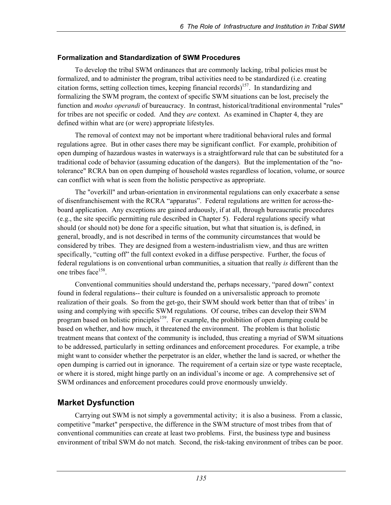### **Formalization and Standardization of SWM Procedures**

To develop the tribal SWM ordinances that are commonly lacking, tribal policies must be formalized, and to administer the program, tribal activities need to be standardized (i.e. creating citation forms, setting collection times, keeping financial records)<sup>157</sup>. In standardizing and formalizing the SWM program, the context of specific SWM situations can be lost, precisely the function and *modus operandi* of bureaucracy. In contrast, historical/traditional environmental "rules" for tribes are not specific or coded. And they *are* context. As examined in Chapter 4, they are defined within what are (or were) appropriate lifestyles.

The removal of context may not be important where traditional behavioral rules and formal regulations agree. But in other cases there may be significant conflict. For example, prohibition of open dumping of hazardous wastes in waterways is a straightforward rule that can be substituted for a traditional code of behavior (assuming education of the dangers). But the implementation of the "notolerance" RCRA ban on open dumping of household wastes regardless of location, volume, or source can conflict with what is seen from the holistic perspective as appropriate.

The "overkill" and urban-orientation in environmental regulations can only exacerbate a sense of disenfranchisement with the RCRA "apparatus". Federal regulations are written for across-theboard application. Any exceptions are gained arduously, if at all, through bureaucratic procedures (e.g., the site specific permitting rule described in Chapter 5). Federal regulations specify what should (or should not) be done for a specific situation, but what that situation is, is defined, in general, broadly, and is not described in terms of the community circumstances that would be considered by tribes. They are designed from a western-industrialism view, and thus are written specifically, "cutting off" the full context evoked in a diffuse perspective. Further, the focus of federal regulations is on conventional urban communities, a situation that really *is* different than the one tribes face<sup>158</sup>.

Conventional communities should understand the, perhaps necessary, "pared down" context found in federal regulations-- their culture is founded on a universalistic approach to promote realization of their goals. So from the get-go, their SWM should work better than that of tribes' in using and complying with specific SWM regulations. Of course, tribes can develop their SWM program based on holistic principles<sup>159</sup>. For example, the prohibition of open dumping could be based on whether, and how much, it threatened the environment. The problem is that holistic treatment means that context of the community is included, thus creating a myriad of SWM situations to be addressed, particularly in setting ordinances and enforcement procedures. For example, a tribe might want to consider whether the perpetrator is an elder, whether the land is sacred, or whether the open dumping is carried out in ignorance. The requirement of a certain size or type waste receptacle, or where it is stored, might hinge partly on an individual's income or age. A comprehensive set of SWM ordinances and enforcement procedures could prove enormously unwieldy.

# **Market Dysfunction**

Carrying out SWM is not simply a governmental activity; it is also a business. From a classic, competitive "market" perspective, the difference in the SWM structure of most tribes from that of conventional communities can create at least two problems. First, the business type and business environment of tribal SWM do not match. Second, the risk-taking environment of tribes can be poor.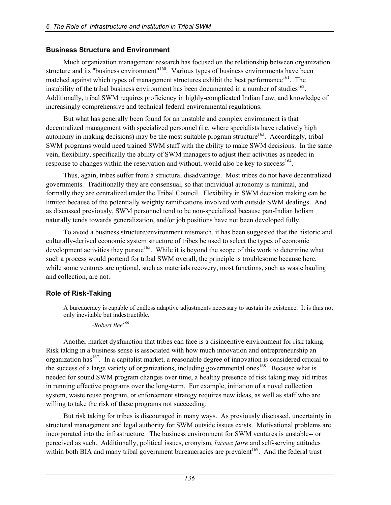#### **Business Structure and Environment**

Much organization management research has focused on the relationship between organization structure and its "business environment"<sup>160</sup>. Various types of business environments have been matched against which types of management structures exhibit the best performance<sup>161</sup>. The instability of the tribal business environment has been documented in a number of studies $^{162}$ . Additionally, tribal SWM requires proficiency in highly-complicated Indian Law, and knowledge of increasingly comprehensive and technical federal environmental regulations.

But what has generally been found for an unstable and complex environment is that decentralized management with specialized personnel (i.e. where specialists have relatively high autonomy in making decisions) may be the most suitable program structure<sup>163</sup>. Accordingly, tribal SWM programs would need trained SWM staff with the ability to make SWM decisions. In the same vein, flexibility, specifically the ability of SWM managers to adjust their activities as needed in response to changes within the reservation and without, would also be key to success<sup>164</sup>.

Thus, again, tribes suffer from a structural disadvantage. Most tribes do not have decentralized governments. Traditionally they are consensual, so that individual autonomy is minimal, and formally they are centralized under the Tribal Council. Flexibility in SWM decision making can be limited because of the potentially weighty ramifications involved with outside SWM dealings. And as discussed previously, SWM personnel tend to be non-specialized because pan-Indian holism naturally tends towards generalization, and/or job positions have not been developed fully.

To avoid a business structure/environment mismatch, it has been suggested that the historic and culturally-derived economic system structure of tribes be used to select the types of economic development activities they pursue<sup>165</sup>. While it is beyond the scope of this work to determine what such a process would portend for tribal SWM overall, the principle is troublesome because here, while some ventures are optional, such as materials recovery, most functions, such as waste hauling and collection, are not.

### **Role of Risk-Taking**

A bureaucracy is capable of endless adaptive adjustments necessary to sustain its existence. It is thus not only inevitable but indestructible.

 *-Robert Bee166*

Another market dysfunction that tribes can face is a disincentive environment for risk taking. Risk taking in a business sense is associated with how much innovation and entrepreneurship an organization has<sup>167</sup>. In a capitalist market, a reasonable degree of innovation is considered crucial to the success of a large variety of organizations, including governmental ones<sup>168</sup>. Because what is needed for sound SWM program changes over time, a healthy presence of risk taking may aid tribes in running effective programs over the long-term. For example, initiation of a novel collection system, waste reuse program, or enforcement strategy requires new ideas, as well as staff who are willing to take the risk of these programs not succeeding.

But risk taking for tribes is discouraged in many ways. As previously discussed, uncertainty in structural management and legal authority for SWM outside issues exists. Motivational problems are incorporated into the infrastructure. The business environment for SWM ventures is unstable-- or perceived as such. Additionally, political issues, cronyism, *laissez faire* and self-serving attitudes within both BIA and many tribal government bureaucracies are prevalent<sup>169</sup>. And the federal trust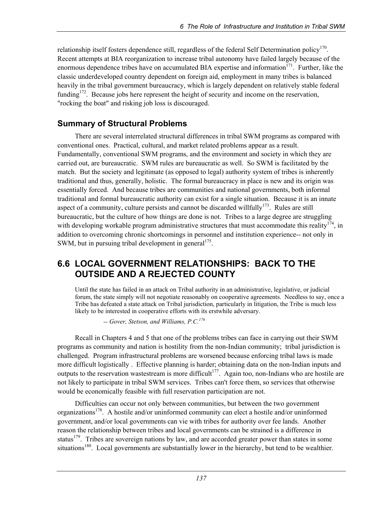relationship itself fosters dependence still, regardless of the federal Self Determination policy<sup>170</sup>. Recent attempts at BIA reorganization to increase tribal autonomy have failed largely because of the enormous dependence tribes have on accumulated BIA expertise and information $171$ . Further, like the classic underdeveloped country dependent on foreign aid, employment in many tribes is balanced heavily in the tribal government bureaucracy, which is largely dependent on relatively stable federal funding<sup>172</sup>. Because jobs here represent the height of security and income on the reservation, "rocking the boat" and risking job loss is discouraged.

# **Summary of Structural Problems**

There are several interrelated structural differences in tribal SWM programs as compared with conventional ones. Practical, cultural, and market related problems appear as a result. Fundamentally, conventional SWM programs, and the environment and society in which they are carried out, are bureaucratic. SWM rules are bureaucratic as well. So SWM is facilitated by the match. But the society and legitimate (as opposed to legal) authority system of tribes is inherently traditional and thus, generally, holistic. The formal bureaucracy in place is new and its origin was essentially forced. And because tribes are communities and national governments, both informal traditional and formal bureaucratic authority can exist for a single situation. Because it is an innate aspect of a community, culture persists and cannot be discarded willfully<sup>173</sup>. Rules are still bureaucratic, but the culture of how things are done is not. Tribes to a large degree are struggling with developing workable program administrative structures that must accommodate this reality<sup>174</sup>, in addition to overcoming chronic shortcomings in personnel and institution experience-- not only in SWM, but in pursuing tribal development in general $175$ .

# **6.6 LOCAL GOVERNMENT RELATIONSHIPS: BACK TO THE OUTSIDE AND A REJECTED COUNTY**

Until the state has failed in an attack on Tribal authority in an administrative, legislative, or judicial forum, the state simply will not negotiate reasonably on cooperative agreements. Needless to say, once a Tribe has defeated a state attack on Tribal jurisdiction, particularly in litigation, the Tribe is much less likely to be interested in cooperative efforts with its erstwhile adversary.

 *-- Gover, Stetson, and Williams, P.C.176*

Recall in Chapters 4 and 5 that one of the problems tribes can face in carrying out their SWM programs as community and nation is hostility from the non-Indian community; tribal jurisdiction is challenged. Program infrastructural problems are worsened because enforcing tribal laws is made more difficult logistically . Effective planning is harder; obtaining data on the non-Indian inputs and outputs to the reservation wastestream is more difficult<sup>177</sup>. Again too, non-Indians who are hostile are not likely to participate in tribal SWM services. Tribes can't force them, so services that otherwise would be economically feasible with full reservation participation are not.

Difficulties can occur not only between communities, but between the two government organizations<sup>178</sup>. A hostile and/or uninformed community can elect a hostile and/or uninformed government, and/or local governments can vie with tribes for authority over fee lands. Another reason the relationship between tribes and local governments can be strained is a difference in status<sup>179</sup>. Tribes are sovereign nations by law, and are accorded greater power than states in some situations<sup>180</sup>. Local governments are substantially lower in the hierarchy, but tend to be wealthier.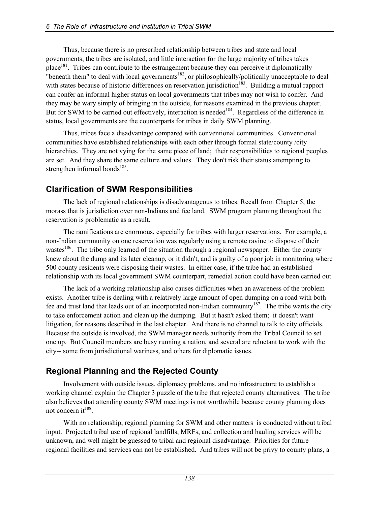Thus, because there is no prescribed relationship between tribes and state and local governments, the tribes are isolated, and little interaction for the large majority of tribes takes place<sup>181</sup>. Tribes can contribute to the estrangement because they can perceive it diplomatically "beneath them" to deal with local governments<sup>182</sup>, or philosophically/politically unacceptable to deal with states because of historic differences on reservation jurisdiction<sup>183</sup>. Building a mutual rapport can confer an informal higher status on local governments that tribes may not wish to confer. And they may be wary simply of bringing in the outside, for reasons examined in the previous chapter. But for SWM to be carried out effectively, interaction is needed<sup>184</sup>. Regardless of the difference in status, local governments are the counterparts for tribes in daily SWM planning.

Thus, tribes face a disadvantage compared with conventional communities. Conventional communities have established relationships with each other through formal state/county /city hierarchies. They are not vying for the same piece of land; their responsibilities to regional peoples are set. And they share the same culture and values. They don't risk their status attempting to strengthen informal bonds<sup>185</sup>.

# **Clarification of SWM Responsibilities**

The lack of regional relationships is disadvantageous to tribes. Recall from Chapter 5, the morass that is jurisdiction over non-Indians and fee land. SWM program planning throughout the reservation is problematic as a result.

The ramifications are enormous, especially for tribes with larger reservations. For example, a non-Indian community on one reservation was regularly using a remote ravine to dispose of their wastes<sup>186</sup>. The tribe only learned of the situation through a regional newspaper. Either the county knew about the dump and its later cleanup, or it didn't, and is guilty of a poor job in monitoring where 500 county residents were disposing their wastes. In either case, if the tribe had an established relationship with its local government SWM counterpart, remedial action could have been carried out.

The lack of a working relationship also causes difficulties when an awareness of the problem exists. Another tribe is dealing with a relatively large amount of open dumping on a road with both fee and trust land that leads out of an incorporated non-Indian community<sup>187</sup>. The tribe wants the city to take enforcement action and clean up the dumping. But it hasn't asked them; it doesn't want litigation, for reasons described in the last chapter. And there is no channel to talk to city officials. Because the outside is involved, the SWM manager needs authority from the Tribal Council to set one up. But Council members are busy running a nation, and several are reluctant to work with the city-- some from jurisdictional wariness, and others for diplomatic issues.

# **Regional Planning and the Rejected County**

Involvement with outside issues, diplomacy problems, and no infrastructure to establish a working channel explain the Chapter 3 puzzle of the tribe that rejected county alternatives. The tribe also believes that attending county SWM meetings is not worthwhile because county planning does not concern it<sup>188</sup>.

With no relationship, regional planning for SWM and other matters is conducted without tribal input. Projected tribal use of regional landfills, MRFs, and collection and hauling services will be unknown, and well might be guessed to tribal and regional disadvantage. Priorities for future regional facilities and services can not be established. And tribes will not be privy to county plans, a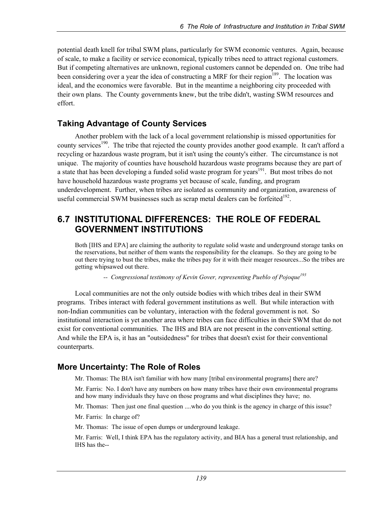potential death knell for tribal SWM plans, particularly for SWM economic ventures. Again, because of scale, to make a facility or service economical, typically tribes need to attract regional customers. But if competing alternatives are unknown, regional customers cannot be depended on. One tribe had been considering over a year the idea of constructing a MRF for their region<sup>189</sup>. The location was ideal, and the economics were favorable. But in the meantime a neighboring city proceeded with their own plans. The County governments knew, but the tribe didn't, wasting SWM resources and effort.

### **Taking Advantage of County Services**

Another problem with the lack of a local government relationship is missed opportunities for county services<sup>190</sup>. The tribe that rejected the county provides another good example. It can't afford a recycling or hazardous waste program, but it isn't using the county's either. The circumstance is not unique. The majority of counties have household hazardous waste programs because they are part of a state that has been developing a funded solid waste program for years<sup>191</sup>. But most tribes do not have household hazardous waste programs yet because of scale, funding, and program underdevelopment. Further, when tribes are isolated as community and organization, awareness of useful commercial SWM businesses such as scrap metal dealers can be forfeited<sup>192</sup>.

### **6.7 INSTITUTIONAL DIFFERENCES: THE ROLE OF FEDERAL GOVERNMENT INSTITUTIONS**

Both [IHS and EPA] are claiming the authority to regulate solid waste and underground storage tanks on the reservations, but neither of them wants the responsibility for the cleanups. So they are going to be out there trying to bust the tribes, make the tribes pay for it with their meager resources...So the tribes are getting whipsawed out there.

-- Congressional testimony of Kevin Gover, representing Pueblo of Pojoque<sup>193</sup>

Local communities are not the only outside bodies with which tribes deal in their SWM programs. Tribes interact with federal government institutions as well. But while interaction with non-Indian communities can be voluntary, interaction with the federal government is not. So institutional interaction is yet another area where tribes can face difficulties in their SWM that do not exist for conventional communities. The IHS and BIA are not present in the conventional setting. And while the EPA is, it has an "outsidedness" for tribes that doesn't exist for their conventional counterparts.

# **More Uncertainty: The Role of Roles**

Mr. Thomas: The BIA isn't familiar with how many [tribal environmental programs] there are?

Mr. Farris: No. I don't have any numbers on how many tribes have their own environmental programs and how many individuals they have on those programs and what disciplines they have; no.

Mr. Thomas: Then just one final question ....who do you think is the agency in charge of this issue?

Mr. Farris: In charge of?

Mr. Thomas: The issue of open dumps or underground leakage.

Mr. Farris: Well, I think EPA has the regulatory activity, and BIA has a general trust relationship, and IHS has the--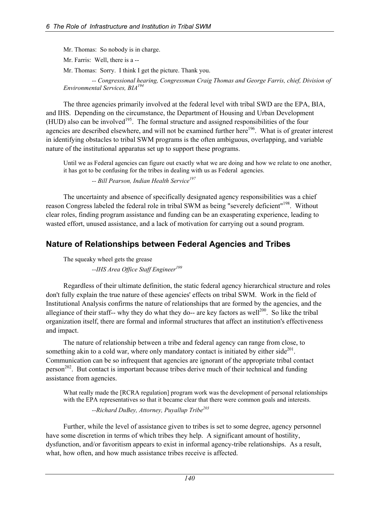Mr. Thomas: So nobody is in charge. Mr. Farris: Well, there is a -- Mr. Thomas: Sorry. I think I get the picture. Thank you.

 *-- Congressional hearing, Congressman Craig Thomas and George Farris, chief, Division of Environmental Services, BIA194*

The three agencies primarily involved at the federal level with tribal SWD are the EPA, BIA, and IHS. Depending on the circumstance, the Department of Housing and Urban Development  $(HUD)$  also can be involved<sup>195</sup>. The formal structure and assigned responsibilities of the four agencies are described elsewhere, and will not be examined further here<sup>196</sup>. What is of greater interest in identifying obstacles to tribal SWM programs is the often ambiguous, overlapping, and variable nature of the institutional apparatus set up to support these programs.

Until we as Federal agencies can figure out exactly what we are doing and how we relate to one another, it has got to be confusing for the tribes in dealing with us as Federal agencies.

 *-- Bill Pearson, Indian Health Service197*

The uncertainty and absence of specifically designated agency responsibilities was a chief reason Congress labeled the federal role in tribal SWM as being "severely deficient"<sup>198</sup>. Without clear roles, finding program assistance and funding can be an exasperating experience, leading to wasted effort, unused assistance, and a lack of motivation for carrying out a sound program.

# **Nature of Relationships between Federal Agencies and Tribes**

The squeaky wheel gets the grease

 *--IHS Area Office Staff Engineer<sup>199</sup>*

Regardless of their ultimate definition, the static federal agency hierarchical structure and roles don't fully explain the true nature of these agencies' effects on tribal SWM. Work in the field of Institutional Analysis confirms the nature of relationships that are formed by the agencies, and the allegiance of their staff-- why they do what they do-- are key factors as well<sup>200</sup>. So like the tribal organization itself, there are formal and informal structures that affect an institution's effectiveness and impact.

The nature of relationship between a tribe and federal agency can range from close, to something akin to a cold war, where only mandatory contact is initiated by either side<sup>201</sup>. Communication can be so infrequent that agencies are ignorant of the appropriate tribal contact  $person<sup>202</sup>$ . But contact is important because tribes derive much of their technical and funding assistance from agencies.

What really made the [RCRA regulation] program work was the development of personal relationships with the EPA representatives so that it became clear that there were common goals and interests.

 *--Richard DuBey, Attorney, Puyallup Tribe203*

Further, while the level of assistance given to tribes is set to some degree, agency personnel have some discretion in terms of which tribes they help. A significant amount of hostility, dysfunction, and/or favoritism appears to exist in informal agency-tribe relationships. As a result, what, how often, and how much assistance tribes receive is affected.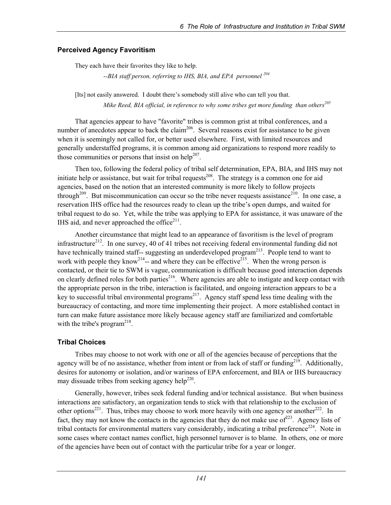#### **Perceived Agency Favoritism**

They each have their favorites they like to help.

 *--BIA staff person, referring to IHS, BIA, and EPA personnel 204*

[Its] not easily answered. I doubt there's somebody still alive who can tell you that. *Mike Reed, BIA official, in reference to why some tribes get more funding than others<sup>205</sup>* 

That agencies appear to have "favorite" tribes is common grist at tribal conferences, and a number of anecdotes appear to back the claim<sup>206</sup>. Several reasons exist for assistance to be given when it is seemingly not called for, or better used elsewhere. First, with limited resources and generally understaffed programs, it is common among aid organizations to respond more readily to those communities or persons that insist on help<sup>207</sup>.

Then too, following the federal policy of tribal self determination, EPA, BIA, and IHS may not initiate help or assistance, but wait for tribal requests<sup>208</sup>. The strategy is a common one for aid agencies, based on the notion that an interested community is more likely to follow projects through<sup>209</sup>. But miscommunication can occur so the tribe never requests assistance<sup>210</sup>. In one case, a reservation IHS office had the resources ready to clean up the tribe's open dumps, and waited for tribal request to do so. Yet, while the tribe was applying to EPA for assistance, it was unaware of the IHS aid, and never approached the office $2^{11}$ .

Another circumstance that might lead to an appearance of favoritism is the level of program infrastructure<sup>212</sup>. In one survey, 40 of 41 tribes not receiving federal environmental funding did not have technically trained staff-- suggesting an underdeveloped program<sup>213</sup>. People tend to want to work with people they know<sup>214</sup>-- and where they can be effective<sup>215</sup>. When the wrong person is contacted, or their tie to SWM is vague, communication is difficult because good interaction depends on clearly defined roles for both parties<sup>216</sup>. Where agencies are able to instigate and keep contact with the appropriate person in the tribe, interaction is facilitated, and ongoing interaction appears to be a key to successful tribal environmental programs<sup>217</sup>. Agency staff spend less time dealing with the bureaucracy of contacting, and more time implementing their project. A more established contact in turn can make future assistance more likely because agency staff are familiarized and comfortable with the tribe's program<sup>218</sup>.

### **Tribal Choices**

Tribes may choose to not work with one or all of the agencies because of perceptions that the agency will be of no assistance, whether from intent or from lack of staff or funding<sup>219</sup>. Additionally, desires for autonomy or isolation, and/or wariness of EPA enforcement, and BIA or IHS bureaucracy may dissuade tribes from seeking agency help<sup>220</sup>.

Generally, however, tribes seek federal funding and/or technical assistance. But when business interactions are satisfactory, an organization tends to stick with that relationship to the exclusion of other options<sup>221</sup>. Thus, tribes may choose to work more heavily with one agency or another<sup>222</sup>. In fact, they may not know the contacts in the agencies that they do not make use of $2^{223}$ . Agency lists of tribal contacts for environmental matters vary considerably, indicating a tribal preference<sup>224</sup>. Note in some cases where contact names conflict, high personnel turnover is to blame. In others, one or more of the agencies have been out of contact with the particular tribe for a year or longer.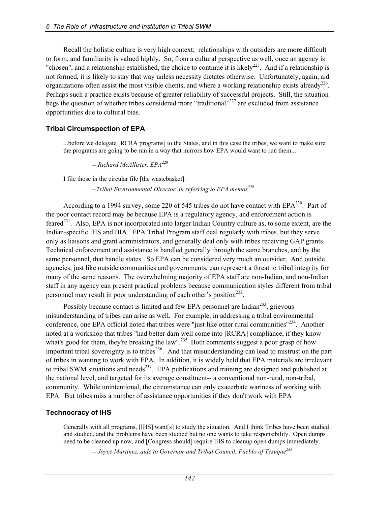Recall the holistic culture is very high context; relationships with outsiders are more difficult to form, and familiarity is valued highly. So, from a cultural perspective as well, once an agency is "chosen", and a relationship established, the choice to continue it is likely<sup>225</sup>. And if a relationship is not formed, it is likely to stay that way unless necessity dictates otherwise. Unfortunately, again, aid organizations often assist the most visible clients, and where a working relationship exists already<sup>226</sup>. Perhaps such a practice exists because of greater reliability of successful projects. Still, the situation begs the question of whether tribes considered more "traditional"<sup>227</sup> are excluded from assistance opportunities due to cultural bias.

### **Tribal Circumspection of EPA**

...before we delegate [RCRA programs] to the States, and in this case the tribes, we want to make sure the programs are going to be run in a way that mirrors how EPA would want to run them...

-- *Richard McAllister, EPA*<sup>228</sup>

I file those in the circular file [the wastebasket].

--Tribal Environmental Director, in referring to EPA memos<sup>229</sup>

According to a 1994 survey, some 220 of 545 tribes do not have contact with EPA<sup>230</sup>. Part of the poor contact record may be because EPA is a regulatory agency, and enforcement action is feared<sup>231</sup>. Also, EPA is not incorporated into larger Indian Country culture as, to some extent, are the Indian-specific IHS and BIA. EPA Tribal Program staff deal regularly with tribes, but they serve only as liaisons and grant administrators, and generally deal only with tribes receiving GAP grants. Technical enforcement and assistance is handled generally through the same branches, and by the same personnel, that handle states. So EPA can be considered very much an outsider. And outside agencies, just like outside communities and governments, can represent a threat to tribal integrity for many of the same reasons. The overwhelming majority of EPA staff are non-Indian, and non-Indian staff in any agency can present practical problems because communication styles different from tribal personnel may result in poor understanding of each other's position<sup>232</sup>.

Possibly because contact is limited and few EPA personnel are Indian<sup>233</sup>, grievous misunderstanding of tribes can arise as well. For example, in addressing a tribal environmental conference, one EPA official noted that tribes were "just like other rural communities"<sup>234</sup>. Another noted at a workshop that tribes "had better darn well come into [RCRA] compliance, if they know what's good for them, they're breaking the law".<sup>235</sup> Both comments suggest a poor grasp of how important tribal sovereignty is to tribes<sup>236</sup>. And that misunderstanding can lead to mistrust on the part of tribes in wanting to work with EPA. In addition, it is widely held that EPA materials are irrelevant to tribal SWM situations and needs<sup>237</sup>. EPA publications and training are designed and published at the national level, and targeted for its average constituent-- a conventional non-rural, non-tribal, community. While unintentional, the circumstance can only exacerbate wariness of working with EPA. But tribes miss a number of assistance opportunities if they don't work with EPA

#### **Technocracy of IHS**

Generally with all programs, [IHS] want[s] to study the situation. And I think Tribes have been studied and studied, and the problems have been studied but no one wants to take responsibility. Open dumps need to be cleaned up now, and [Congress should] require IHS to cleanup open dumps immediately.

 *-- Joyce Martinez, aide to Governor and Tribal Council, Pueblo of Tesuque238*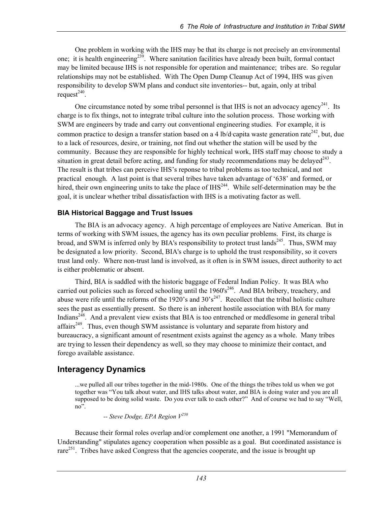One problem in working with the IHS may be that its charge is not precisely an environmental one; it is health engineering<sup>239</sup>. Where sanitation facilities have already been built, formal contact may be limited because IHS is not responsible for operation and maintenance; tribes are. So regular relationships may not be established. With The Open Dump Cleanup Act of 1994, IHS was given responsibility to develop SWM plans and conduct site inventories-- but, again, only at tribal request $^{240}$ .

One circumstance noted by some tribal personnel is that IHS is not an advocacy agency<sup>241</sup>. Its charge is to fix things, not to integrate tribal culture into the solution process. Those working with SWM are engineers by trade and carry out conventional engineering studies. For example, it is common practice to design a transfer station based on a 4 lb/d capita waste generation rate<sup>242</sup>, but, due to a lack of resources, desire, or training, not find out whether the station will be used by the community. Because they are responsible for highly technical work, IHS staff may choose to study a situation in great detail before acting, and funding for study recommendations may be delayed $^{243}$ . The result is that tribes can perceive IHS's reponse to tribal problems as too technical, and not practical enough. A last point is that several tribes have taken advantage of '638' and formed, or hired, their own engineering units to take the place of  $IHS<sup>244</sup>$ . While self-determination may be the goal, it is unclear whether tribal dissatisfaction with IHS is a motivating factor as well.

### **BIA Historical Baggage and Trust Issues**

The BIA is an advocacy agency. A high percentage of employees are Native American. But in terms of working with SWM issues, the agency has its own peculiar problems. First, its charge is broad, and SWM is inferred only by BIA's responsibility to protect trust lands<sup>245</sup>. Thus, SWM may be designated a low priority. Second, BIA's charge is to uphold the trust responsibility, so it covers trust land only. Where non-trust land is involved, as it often is in SWM issues, direct authority to act is either problematic or absent.

Third, BIA is saddled with the historic baggage of Federal Indian Policy. It was BIA who carried out policies such as forced schooling until the  $1960's<sup>246</sup>$ . And BIA bribery, treachery, and abuse were rife until the reforms of the 1920's and  $30^{\circ} s^{247}$ . Recollect that the tribal holistic culture sees the past as essentially present. So there is an inherent hostile association with BIA for many Indians $248$ . And a prevalent view exists that BIA is too entrenched or meddlesome in general tribal affairs<sup>249</sup>. Thus, even though SWM assistance is voluntary and separate from history and bureaucracy, a significant amount of resentment exists against the agency as a whole. Many tribes are trying to lessen their dependency as well, so they may choose to minimize their contact, and forego available assistance.

# **Interagency Dynamics**

...we pulled all our tribes together in the mid-1980s. One of the things the tribes told us when we got together was "You talk about water, and IHS talks about water, and BIA is doing water and you are all supposed to be doing solid waste. Do you ever talk to each other?" And of course we had to say "Well, no".

 *-- Steve Dodge, EPA Region V250*

Because their formal roles overlap and/or complement one another, a 1991 "Memorandum of Understanding" stipulates agency cooperation when possible as a goal. But coordinated assistance is rare<sup>251</sup>. Tribes have asked Congress that the agencies cooperate, and the issue is brought up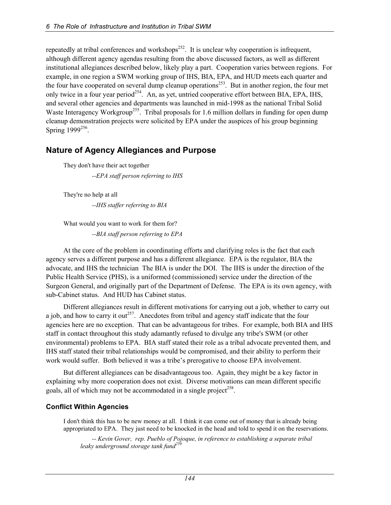repeatedly at tribal conferences and workshops<sup>252</sup>. It is unclear why cooperation is infrequent, although different agency agendas resulting from the above discussed factors, as well as different institutional allegiances described below, likely play a part. Cooperation varies between regions. For example, in one region a SWM working group of IHS, BIA, EPA, and HUD meets each quarter and the four have cooperated on several dump cleanup operations<sup>253</sup>. But in another region, the four met only twice in a four year period<sup>254</sup>. An, as yet, untried cooperative effort between BIA, EPA, IHS, and several other agencies and departments was launched in mid-1998 as the national Tribal Solid Waste Interagency Workgroup<sup>255</sup>. Tribal proposals for 1.6 million dollars in funding for open dump cleanup demonstration projects were solicited by EPA under the auspices of his group beginning Spring 1999<sup>256</sup>.

# **Nature of Agency Allegiances and Purpose**

They don't have their act together  *--EPA staff person referring to IHS* 

They're no help at all

 *--IHS staffer referring to BIA* 

What would you want to work for them for?  *--BIA staff person referring to EPA* 

At the core of the problem in coordinating efforts and clarifying roles is the fact that each agency serves a different purpose and has a different allegiance. EPA is the regulator, BIA the advocate, and IHS the technician The BIA is under the DOI. The IHS is under the direction of the Public Health Service (PHS), is a uniformed (commissioned) service under the direction of the Surgeon General, and originally part of the Department of Defense. The EPA is its own agency, with sub-Cabinet status. And HUD has Cabinet status.

Different allegiances result in different motivations for carrying out a job, whether to carry out a job, and how to carry it out<sup>257</sup>. Anecdotes from tribal and agency staff indicate that the four agencies here are no exception. That can be advantageous for tribes. For example, both BIA and IHS staff in contact throughout this study adamantly refused to divulge any tribe's SWM (or other environmental) problems to EPA. BIA staff stated their role as a tribal advocate prevented them, and IHS staff stated their tribal relationships would be compromised, and their ability to perform their work would suffer. Both believed it was a tribe's prerogative to choose EPA involvement.

But different allegiances can be disadvantageous too. Again, they might be a key factor in explaining why more cooperation does not exist. Diverse motivations can mean different specific goals, all of which may not be accommodated in a single project<sup>258</sup>.

### **Conflict Within Agencies**

I don't think this has to be new money at all. I think it can come out of money that is already being appropriated to EPA. They just need to be knocked in the head and told to spend it on the reservations.

 *-- Kevin Gover, rep. Pueblo of Pojoque, in reference to establishing a separate tribal leaky underground storage tank fund<sup>259</sup>*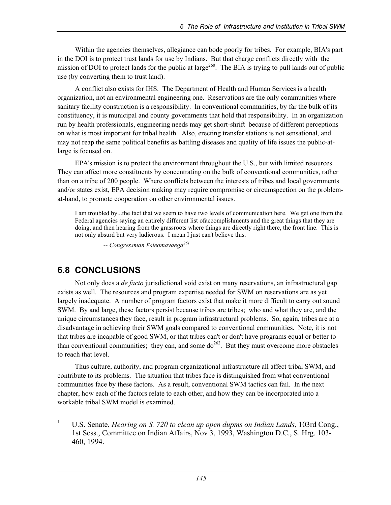Within the agencies themselves, allegiance can bode poorly for tribes. For example, BIA's part in the DOI is to protect trust lands for use by Indians. But that charge conflicts directly with the mission of DOI to protect lands for the public at large<sup>260</sup>. The BIA is trying to pull lands out of public use (by converting them to trust land).

A conflict also exists for IHS. The Department of Health and Human Services is a health organization, not an environmental engineering one. Reservations are the only communities where sanitary facility construction is a responsibility. In conventional communities, by far the bulk of its constituency, it is municipal and county governments that hold that responsibility. In an organization run by health professionals, engineering needs may get short-shrift because of different perceptions on what is most important for tribal health. Also, erecting transfer stations is not sensational, and may not reap the same political benefits as battling diseases and quality of life issues the public-atlarge is focused on.

EPA's mission is to protect the environment throughout the U.S., but with limited resources. They can affect more constituents by concentrating on the bulk of conventional communities, rather than on a tribe of 200 people. Where conflicts between the interests of tribes and local governments and/or states exist, EPA decision making may require compromise or circumspection on the problemat-hand, to promote cooperation on other environmental issues.

I am troubled by...the fact that we seem to have two levels of communication here. We get one from the Federal agencies saying an entirely different list ofaccomplishments and the great things that they are doing, and then hearing from the grassroots where things are directly right there, the front line. This is not only absurd but very ludicrous. I mean I just can't believe this.

 *-- Congressman Faleomavaega<sup>261</sup>*

# **6.8 CONCLUSIONS**

l

Not only does a *de facto* jurisdictional void exist on many reservations, an infrastructural gap exists as well. The resources and program expertise needed for SWM on reservations are as yet largely inadequate. A number of program factors exist that make it more difficult to carry out sound SWM. By and large, these factors persist because tribes are tribes; who and what they are, and the unique circumstances they face, result in program infrastructural problems. So, again, tribes are at a disadvantage in achieving their SWM goals compared to conventional communities. Note, it is not that tribes are incapable of good SWM, or that tribes can't or don't have programs equal or better to than conventional communities; they can, and some  $do^{262}$ . But they must overcome more obstacles to reach that level.

Thus culture, authority, and program organizational infrastructure all affect tribal SWM, and contribute to its problems. The situation that tribes face is distinguished from what conventional communities face by these factors. As a result, conventional SWM tactics can fail. In the next chapter, how each of the factors relate to each other, and how they can be incorporated into a workable tribal SWM model is examined.

<sup>1</sup> U.S. Senate, *Hearing on S. 720 to clean up open dupms on Indian Lands*, 103rd Cong., 1st Sess., Committee on Indian Affairs, Nov 3, 1993, Washington D.C., S. Hrg. 103- 460, 1994.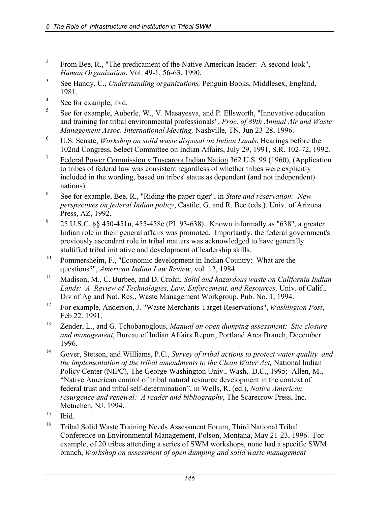- 2 From Bee, R., "The predicament of the Native American leader: A second look", *Human Organization*, Vol. 49-1, 56-63, 1990.
- 3 See Handy, C., *Understanding organizations,* Penguin Books, Middlesex, England, 1981.
- 4 See for example, ibid.
- 5 See for example, Auberle, W., V. Masayesva, and P. Ellsworth, "Innovative education and training for tribal environmental professionals", *Proc. of 89th Annual Air and Waste Management Assoc. International Meeting,* Nashville, TN, Jun 23-28, 1996.
- 6 U.S. Senate, *Workshop on solid waste disposal on Indian Lands*, Hearings before the 102nd Congress, Select Committee on Indian Affairs, July 29, 1991, S.R. 102-72, 1992.
- 7 Federal Power Commission v Tuscarora Indian Nation 362 U.S. 99 (1960), (Application to tribes of federal law was consistent regardless of whether tribes were explicitly included in the wording, based on tribes' status as dependent (and not independent) nations).
- 8 See for example, Bee, R., "Riding the paper tiger", in *State and reservation: New perspectives on federal Indian policy*, Castile, G. and R. Bee (eds.), Univ. of Arizona Press, AZ, 1992.
- 9 25 U.S.C. §§ 450-451n, 455-458e (PL 93-638). Known informally as "638", a greater Indian role in their general affairs was promoted. Importantly, the federal government's previously ascendant role in tribal matters was acknowledged to have generally stultified tribal initiative and development of leadership skills.
- <sup>10</sup> Pommersheim, F., "Economic development in Indian Country: What are the questions?", *American Indian Law Review*, vol. 12, 1984.
- 11 Madison, M., C. Burbee, and D. Crohn, *Solid and hazardous waste on California Indian*  Lands: A Review of Technologies, Law, Enforcement, and Resources, Univ. of Calif., Div of Ag and Nat. Res., Waste Management Workgroup. Pub. No. 1, 1994.
- 12 For example, Anderson, J. "Waste Merchants Target Reservations", *Washington Post*, Feb 22. 1991.
- 13 Zender, L., and G. Tchobanoglous, *Manual on open dumping assessment: Site closure and management*, Bureau of Indian Affairs Report, Portland Area Branch, December 1996.
- 14 Gover, Stetson, and Williams, P.C., *Survey of tribal actions to protect water quality and the implementation of the tribal amendments to the Clean Water Act,* National Indian Policy Center (NIPC), The George Washington Univ., Wash,. D.C., 1995; Allen, M., "Native American control of tribal natural resource development in the context of federal trust and tribal self-determination", in Wells, R. (ed.), *Native American resurgence and renewal: A reader and bibliography*, The Scarecrow Press, Inc. Metuchen, NJ. 1994.
- $15$  Ibid.
- <sup>16</sup> Tribal Solid Waste Training Needs Assessment Forum, Third National Tribal Conference on Environmental Management, Polson, Montana, May 21-23, 1996. For example, of 20 tribes attending a series of SWM workshops, none had a specific SWM branch, *Workshop on assessment of open dumping and solid waste management*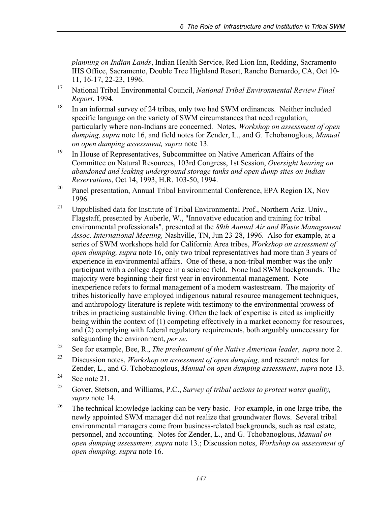*planning on Indian Lands*, Indian Health Service, Red Lion Inn, Redding, Sacramento IHS Office, Sacramento, Double Tree Highland Resort, Rancho Bernardo, CA, Oct 10- 11, 16-17, 22-23, 1996.

- 17 National Tribal Environmental Council, *National Tribal Environmental Review Final Report*, 1994.
- <sup>18</sup> In an informal survey of 24 tribes, only two had SWM ordinances. Neither included specific language on the variety of SWM circumstances that need regulation, particularly where non-Indians are concerned. Notes, *Workshop on assessment of open dumping, supra* note 16, and field notes for Zender, L., and G. Tchobanoglous, *Manual on open dumping assessment, supra* note 13.
- <sup>19</sup> In House of Representatives, Subcommittee on Native American Affairs of the Committee on Natural Resources, 103rd Congress, 1st Session, *Oversight hearing on abandoned and leaking underground storage tanks and open dump sites on Indian Reservations*, Oct 14, 1993, H.R. 103-50, 1994.
- <sup>20</sup> Panel presentation, Annual Tribal Environmental Conference, EPA Region IX, Nov 1996.
- <sup>21</sup> Unpublished data for Institute of Tribal Environmental Prof., Northern Ariz. Univ., Flagstaff, presented by Auberle, W., "Innovative education and training for tribal environmental professionals", presented at the *89th Annual Air and Waste Management Assoc. International Meeting,* Nashville, TN, Jun 23-28, 1996. Also for example, at a series of SWM workshops held for California Area tribes, *Workshop on assessment of open dumping, supra* note 16, only two tribal representatives had more than 3 years of experience in environmental affairs. One of these, a non-tribal member was the only participant with a college degree in a science field. None had SWM backgrounds. The majority were beginning their first year in environmental management. Note inexperience refers to formal management of a modern wastestream. The majority of tribes historically have employed indigenous natural resource management techniques, and anthropology literature is replete with testimony to the environmental prowess of tribes in practicing sustainable living. Often the lack of expertise is cited as implicitly being within the context of (1) competing effectively in a market economy for resources, and (2) complying with federal regulatory requirements, both arguably unnecessary for safeguarding the environment, *per se*. 22 See for example, Bee, R., *The predicament of the Native American leader, supra* note 2.
- 
- 23 Discussion notes, *Workshop on assessment of open dumping,* and research notes for Zender, L., and G. Tchobanoglous, *Manual on open dumping assessment*, *supra* note 13.
- $24$  See note 21.
- 25 Gover, Stetson, and Williams, P.C., *Survey of tribal actions to protect water quality, supra* note 14*.*
- <sup>26</sup> The technical knowledge lacking can be very basic. For example, in one large tribe, the newly appointed SWM manager did not realize that groundwater flows. Several tribal environmental managers come from business-related backgrounds, such as real estate, personnel, and accounting. Notes for Zender, L., and G. Tchobanoglous, *Manual on open dumping assessment, supra* note 13.; Discussion notes, *Workshop on assessment of open dumping, supra* note 16.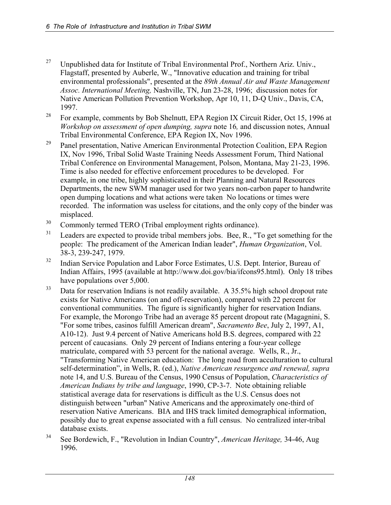- <sup>27</sup> Unpublished data for Institute of Tribal Environmental Prof., Northern Ariz. Univ., Flagstaff, presented by Auberle, W., "Innovative education and training for tribal environmental professionals", presented at the *89th Annual Air and Waste Management Assoc. International Meeting,* Nashville, TN, Jun 23-28, 1996; discussion notes for Native American Pollution Prevention Workshop, Apr 10, 11, D-Q Univ., Davis, CA, 1997.
- <sup>28</sup> For example, comments by Bob Shelnutt, EPA Region IX Circuit Rider, Oct 15, 1996 at *Workshop on assessment of open dumping, supra note 16, and discussion notes, Annual* Tribal Environmental Conference, EPA Region IX, Nov 1996.
- <sup>29</sup> Panel presentation, Native American Environmental Protection Coalition, EPA Region IX, Nov 1996, Tribal Solid Waste Training Needs Assessment Forum, Third National Tribal Conference on Environmental Management, Polson, Montana, May 21-23, 1996. Time is also needed for effective enforcement procedures to be developed. For example, in one tribe, highly sophisticated in their Planning and Natural Resources Departments, the new SWM manager used for two years non-carbon paper to handwrite open dumping locations and what actions were taken No locations or times were recorded. The information was useless for citations, and the only copy of the binder was misplaced.
- <sup>30</sup> Commonly termed TERO (Tribal employment rights ordinance).
- <sup>31</sup> Leaders are expected to provide tribal members jobs. Bee, R., "To get something for the people: The predicament of the American Indian leader", *Human Organization*, Vol. 38-3, 239-247, 1979.
- <sup>32</sup> Indian Service Population and Labor Force Estimates, U.S. Dept. Interior, Bureau of Indian Affairs, 1995 (available at http://www.doi.gov/bia/ifcons95.html). Only 18 tribes have populations over 5,000.
- <sup>33</sup> Data for reservation Indians is not readily available. A 35.5% high school dropout rate exists for Native Americans (on and off-reservation), compared with 22 percent for conventional communities. The figure is significantly higher for reservation Indians. For example, the Morongo Tribe had an average 85 percent dropout rate (Magagnini, S. "For some tribes, casinos fulfill American dream", *Sacramento Bee*, July 2, 1997, A1, A10-12). Just 9.4 percent of Native Americans hold B.S. degrees, compared with 22 percent of caucasians. Only 29 percent of Indians entering a four-year college matriculate, compared with 53 percent for the national average. Wells, R., Jr., "Transforming Native American education: The long road from acculturation to cultural self-determination", in Wells, R. (ed.), *Native American resurgence and renewal, supra*  note 14, and U.S. Bureau of the Census, 1990 Census of Population, *Characteristics of American Indians by tribe and language*, 1990, CP-3-7. Note obtaining reliable statistical average data for reservations is difficult as the U.S. Census does not distinguish between "urban" Native Americans and the approximately one-third of reservation Native Americans. BIA and IHS track limited demographical information, possibly due to great expense associated with a full census. No centralized inter-tribal database exists.
- 34 See Bordewich, F., "Revolution in Indian Country", *American Heritage,* 34-46, Aug 1996.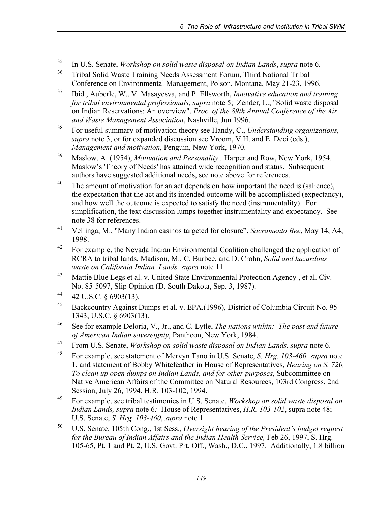- 35 In U.S. Senate, *Workshop on solid waste disposal on Indian Lands*, *supra* note 6.
- <sup>36</sup> Tribal Solid Waste Training Needs Assessment Forum, Third National Tribal Conference on Environmental Management, Polson, Montana, May 21-23, 1996.
- 37 Ibid., Auberle, W., V. Masayesva, and P. Ellsworth, *Innovative education and training for tribal environmental professionals, supra note 5; Zender, L., "Solid waste disposal* on Indian Reservations: An overview", *Proc. of the 89th Annual Conference of the Air and Waste Management Association*, Nashville, Jun 1996.
- 38 For useful summary of motivation theory see Handy, C., *Understanding organizations, supra* note 3, or for expanded discussion see Vroom, V.H. and E. Deci (eds.), *Management and motivation*, Penguin, New York, 1970.
- 39 Maslow, A. (1954), *Motivation and Personality ,* Harper and Row, New York, 1954. Maslow's 'Theory of Needs' has attained wide recognition and status. Subsequent authors have suggested additional needs, see note above for references.
- <sup>40</sup> The amount of motivation for an act depends on how important the need is (salience), the expectation that the act and its intended outcome will be accomplished (expectancy), and how well the outcome is expected to satisfy the need (instrumentality). For simplification, the text discussion lumps together instrumentality and expectancy. See note 38 for references.
- 41 Vellinga, M., "Many Indian casinos targeted for closure", *Sacramento Bee*, May 14, A4, 1998.
- $42$  For example, the Nevada Indian Environmental Coalition challenged the application of RCRA to tribal lands, Madison, M., C. Burbee, and D. Crohn, *Solid and hazardous waste on California Indian Lands, supra* note 11.
- <sup>43</sup> Mattie Blue Legs et al. v. United State Environmental Protection Agency, et al. Civ. No. 85-5097, Slip Opinion (D. South Dakota, Sep. 3, 1987).
- 44 42 U.S.C.  $\S$  6903(13).
- 45 Backcountry Against Dumps et al. v. EPA.(1996), District of Columbia Circuit No. 95- 1343, U.S.C. § 6903(13).
- 46 See for example Deloria, V., Jr., and C. Lytle, *The nations within: The past and future of American Indian sovereignty*, Pantheon, New York, 1984.
- 47 From U.S. Senate, *Workshop on solid waste disposal on Indian Lands, supra* note 6.
- 48 For example, see statement of Mervyn Tano in U.S. Senate, *S. Hrg. 103-460, supra* note 1, and statement of Bobby Whitefeather in House of Representatives, *Hearing on S. 720, To clean up open dumps on Indian Lands, and for other purposes*, Subcommittee on Native American Affairs of the Committee on Natural Resources, 103rd Congress, 2nd Session, July 26, 1994, H.R. 103-102, 1994.
- 49 For example, see tribal testimonies in U.S. Senate, *Workshop on solid waste disposal on Indian Lands, supra* note 6; House of Representatives, *H.R. 103-102*, supra note 48; U.S. Senate, *S. Hrg. 103-460*, *supra* note 1.
- 50 U.S. Senate, 105th Cong., 1st Sess.*, Oversight hearing of the President's budget request for the Bureau of Indian Affairs and the Indian Health Service,* Feb 26, 1997, S. Hrg. 105-65, Pt. 1 and Pt. 2, U.S. Govt. Prt. Off., Wash., D.C., 1997. Additionally, 1.8 billion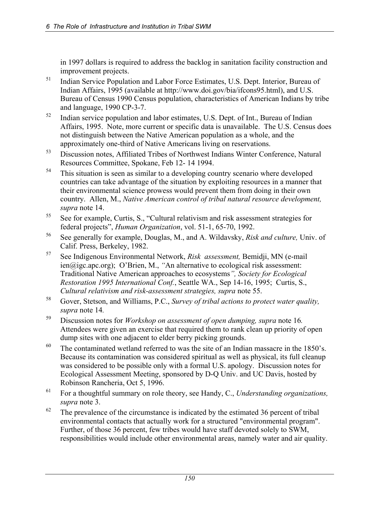in 1997 dollars is required to address the backlog in sanitation facility construction and improvement projects.

- <sup>51</sup> Indian Service Population and Labor Force Estimates, U.S. Dept. Interior, Bureau of Indian Affairs, 1995 (available at http://www.doi.gov/bia/ifcons95.html), and U.S. Bureau of Census 1990 Census population, characteristics of American Indians by tribe and language, 1990 CP-3-7.
- 52 Indian service population and labor estimates, U.S. Dept. of Int., Bureau of Indian Affairs, 1995. Note, more current or specific data is unavailable. The U.S. Census does not distinguish between the Native American population as a whole, and the approximately one-third of Native Americans living on reservations.
- 53 Discussion notes, Affiliated Tribes of Northwest Indians Winter Conference, Natural Resources Committee, Spokane, Feb 12- 14 1994.
- <sup>54</sup> This situation is seen as similar to a developing country scenario where developed countries can take advantage of the situation by exploiting resources in a manner that their environmental science prowess would prevent them from doing in their own country. Allen, M., *Native American control of tribal natural resource development, supra* note 14.
- 55 See for example, Curtis, S., "Cultural relativism and risk assessment strategies for federal projects", *Human Organization*, vol. 51-1, 65-70, 1992.
- 56 See generally for example, Douglas, M., and A. Wildavsky, *Risk and culture,* Univ. of Calif. Press, Berkeley, 1982.
- 57 See Indigenous Environmental Network, *Risk assessment,* Bemidji, MN (e-mail ien@igc.apc.org); O'Brien, M., *"*An alternative to ecological risk assessment: Traditional Native American approaches to ecosystems*", Society for Ecological Restoration 1995 International Conf.*, Seattle WA., Sep 14-16, 1995; Curtis, S., *Cultural relativism and risk-assessment strategies, supra* note 55.
- 58 Gover, Stetson, and Williams, P.C., *Survey of tribal actions to protect water quality, supra* note 14*.*
- 59 Discussion notes for *Workshop on assessment of open dumping, supra* note 16*.*  Attendees were given an exercise that required them to rank clean up priority of open dump sites with one adjacent to elder berry picking grounds.
- <sup>60</sup> The contaminated wetland referred to was the site of an Indian massacre in the 1850's. Because its contamination was considered spiritual as well as physical, its full cleanup was considered to be possible only with a formal U.S. apology. Discussion notes for Ecological Assessment Meetin*g*, sponsored by D-Q Univ. and UC Davis, hosted by Robinson Rancheria, Oct 5, 1996.
- 61 For a thoughtful summary on role theory, see Handy, C., *Understanding organizations, supra* note 3.
- $62$  The prevalence of the circumstance is indicated by the estimated 36 percent of tribal environmental contacts that actually work for a structured "environmental program". Further, of those 36 percent, few tribes would have staff devoted solely to SWM, responsibilities would include other environmental areas, namely water and air quality.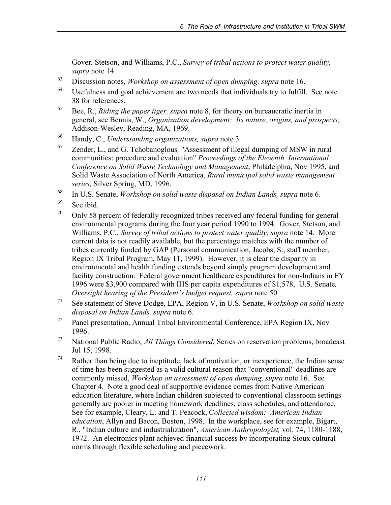Gover, Stetson, and Williams, P.C., *Survey of tribal actions to protect water quality, supra* note 14.

- 63 Discussion notes, *Workshop on assessment of open dumping, supra* note 16.
- 64 Usefulness and goal achievement are two needs that individuals try to fulfill. See note 38 for references.
- 65 Bee, R., *Riding the paper tiger, supra* note 8, for theory on bureaucratic inertia in general, see Bennis, W., *Organization development: Its nature, origins, and prospects*, Addison-Wesley, Reading, MA, 1969.
- 66 Handy, C., *Understanding organizations, supra* note 3.
- 67 Zender, L., and G. Tchobanoglous*,* "Assessment of illegal dumping of MSW in rural communities: procedure and evaluation" *Proceedings of the Eleventh International Conference on Solid Waste Technology and Management*, Philadelphia, Nov 1995, and Solid Waste Association of North America, *Rural municipal solid waste management series,* Silver Spring, MD, 1996.
- 68 In U.S. Senate, *Workshop on solid waste disposal on Indian Lands, supra* note 6*.*
- <sup>69</sup> See ibid.
- $70$  Only 58 percent of federally recognized tribes received any federal funding for general environmental programs during the four year period 1990 to 1994. Gover, Stetson, and Williams, P.C., *Survey of tribal actions to protect water quality, supra* note 14. More current data is not readily available, but the percentage matches with the number of tribes currently funded by GAP (Personal communication, Jacobs, S., staff member, Region IX Tribal Program, May 11, 1999). However, it is clear the disparity in environmental and health funding extends beyond simply program development and facility construction. Federal government healthcare expenditures for non-Indians in FY 1996 were \$3,900 compared with IHS per capita expenditures of \$1,578, U.S. Senate*, Oversight hearing of the President's budget request, supra* note 50.
- 71 See statement of Steve Dodge, EPA, Region V, in U.S. Senate, *Workshop on solid waste disposal on Indian Lands, supra* note 6*.*
- <sup>72</sup> Panel presentation, Annual Tribal Environmental Conference, EPA Region IX, Nov 1996.
- 73 National Public Radio, *All Things Considered*, Series on reservation problems, broadcast Jul 15, 1998.
- $74$  Rather than being due to ineptitude, lack of motivation, or inexperience, the Indian sense of time has been suggested as a valid cultural reason that "conventional" deadlines are commonly missed, *Workshop on assessment of open dumping, supra* note 16. See Chapter 4. Note a good deal of supportive evidence comes from Native American education literature, where Indian children subjected to conventional classroom settings generally are poorer in meeting homework deadlines, class schedules, and attendance. See for example, Cleary, L. and T. Peacock, C*ollected wisdom: American Indian education*, Allyn and Bacon, Boston, 1998. In the workplace, see for example, Bigart, R., "Indian culture and industrialization", *American Anthropologist,* vol. 74, 1180-1188, 1972. An electronics plant achieved financial success by incorporating Sioux cultural norms through flexible scheduling and piecework.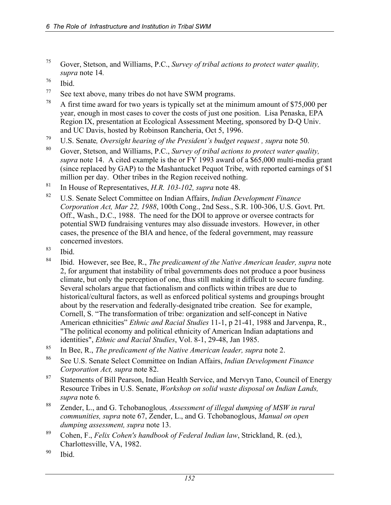- 75 Gover, Stetson, and Williams, P.C., *Survey of tribal actions to protect water quality, supra* note 14*.*
- 76 Ibid.
- 77 See text above, many tribes do not have SWM programs.
- <sup>78</sup> A first time award for two years is typically set at the minimum amount of \$75,000 per year, enough in most cases to cover the costs of just one position. Lisa Penaska, EPA Region IX, presentation at Ecological Assessment Meeting, sponsored by D-Q Univ. and UC Davis, hosted by Robinson Rancheria, Oct 5, 1996.
- 79 U.S. Senate*, Oversight hearing of the President's budget request , supra* note 50.
- 80 Gover, Stetson, and Williams, P.C., *Survey of tribal actions to protect water quality, supra* note 14. A cited example is the or FY 1993 award of a \$65,000 multi-media grant (since replaced by GAP) to the Mashantucket Pequot Tribe, with reported earnings of \$1 million per day. Other tribes in the Region received nothing.
- 81 In House of Representatives, *H.R. 103-102, supra* note 48.
- 82 U.S. Senate Select Committee on Indian Affairs, *Indian Development Finance Corporation Act, Mar 22, 1988*, 100th Cong., 2nd Sess., S.R. 100-306, U.S. Govt. Prt. Off., Wash., D.C., 1988. The need for the DOI to approve or oversee contracts for potential SWD fundraising ventures may also dissuade investors. However, in other cases, the presence of the BIA and hence, of the federal government, may reassure concerned investors.
- 83 Ibid.
- 84 Ibid. However, see Bee, R., *The predicament of the Native American leader, supra* note 2, for argument that instability of tribal governments does not produce a poor business climate, but only the perception of one, thus still making it difficult to secure funding. Several scholars argue that factionalism and conflicts within tribes are due to historical/cultural factors, as well as enforced political systems and groupings brought about by the reservation and federally-designated tribe creation. See for example, Cornell, S. "The transformation of tribe: organization and self-concept in Native American ethnicities" *Ethnic and Racial Studies* 11-1, p 21-41, 1988 and Jarvenpa, R., "The political economy and political ethnicity of American Indian adaptations and identities", *Ethnic and Racial Studies*, Vol. 8-1, 29-48, Jan 1985.
- 85 In Bee, R., *The predicament of the Native American leader, supra* note 2.
- 86 See U.S. Senate Select Committee on Indian Affairs, *Indian Development Finance Corporation Act, supra* note 82.
- <sup>87</sup> Statements of Bill Pearson, Indian Health Service, and Mervyn Tano, Council of Energy Resource Tribes in U.S. Senate, *Workshop on solid waste disposal on Indian Lands, supra* note 6*.*
- 88 Zender, L., and G. Tchobanoglous*, Assessment of illegal dumping of MSW in rural communities, supra* note 67, Zender, L., and G. Tchobanoglous, *Manual on open dumping assessment, supra* note 13.
- 89 Cohen, F., *Felix Cohen's handbook of Federal Indian law*, Strickland, R. (ed.), Charlottesville, VA, 1982.
- 90 Ibid.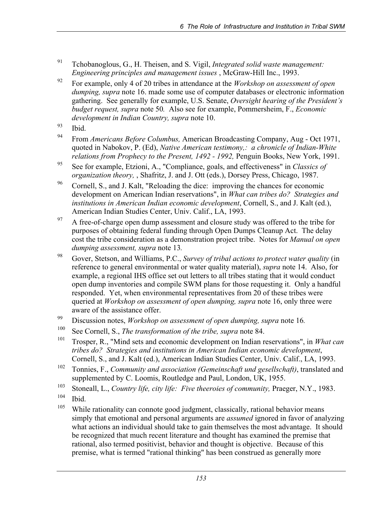- 91 Tchobanoglous, G., H. Theisen, and S. Vigil, *Integrated solid waste management: Engineering principles and management issues* , McGraw-Hill Inc., 1993.
- 92 For example, only 4 of 20 tribes in attendance at the *Workshop on assessment of open dumping, supra* note 16. made some use of computer databases or electronic information gathering. See generally for example, U.S. Senate, *Oversight hearing of the President's budget request, supra* note 50*.* Also see for example, Pommersheim, F., *Economic development in Indian Country, supra* note 10.
- $93$  Ibid.
- 94 From *Americans Before Columbus,* American Broadcasting Company, Aug Oct 1971, quoted in Nabokov, P. (Ed), *Native American testimony,: a chronicle of Indian-White relations from Prophecy to the Present, 1492 - 1992, Penguin Books, New York, 1991.*
- 95 See for example, Etzioni, A., "Compliance, goals, and effectiveness" in *Classics of organization theory,* , Shafritz, J. and J. Ott (eds.), Dorsey Press, Chicago, 1987.
- <sup>96</sup> Cornell, S., and J. Kalt, "Reloading the dice: improving the chances for economic development on American Indian reservations", in *What can tribes do? Strategies and institutions in American Indian economic development*, Cornell, S., and J. Kalt (ed.), American Indian Studies Center, Univ. Calif., LA, 1993.
- <sup>97</sup> A free-of-charge open dump assessment and closure study was offered to the tribe for purposes of obtaining federal funding through Open Dumps Cleanup Act. The delay cost the tribe consideration as a demonstration project tribe. Notes for *Manual on open dumping assessment, supra* note 13*.*
- 98 Gover, Stetson, and Williams, P.C., *Survey of tribal actions to protect water quality* (in reference to general environmental or water quality material), *supra* note 14.Also, for example, a regional IHS office set out letters to all tribes stating that it would conduct open dump inventories and compile SWM plans for those requesting it. Only a handful responded. Yet, when environmental representatives from 20 of these tribes were queried at *Workshop on assessment of open dumping, supra* note 16, only three were aware of the assistance offer.
- 99 Discussion notes, *Workshop on assessment of open dumping, supra* note 16*.*
- 100 See Cornell, S., *The transformation of the tribe, supra* note 84.
- 101 Trosper, R., "Mind sets and economic development on Indian reservations", in *What can tribes do? Strategies and institutions in American Indian economic development*, Cornell, S., and J. Kalt (ed.), American Indian Studies Center, Univ. Calif., LA, 1993.
- 102 Tonnies, F., *Community and association (Gemeinschaft und gesellschaft)*, translated and supplemented by C. Loomis, Routledge and Paul, London, UK, 1955.
- <sup>103</sup> Stoneall, L., *Country life, city life: Five theeroies of community*, Praeger, N.Y., 1983.
- 104 Ibid.
- <sup>105</sup> While rationality can connote good judgment, classically, rational behavior means simply that emotional and personal arguments are *assumed* ignored in favor of analyzing what actions an individual should take to gain themselves the most advantage. It should be recognized that much recent literature and thought has examined the premise that rational, also termed positivist, behavior and thought is objective. Because of this premise, what is termed "rational thinking" has been construed as generally more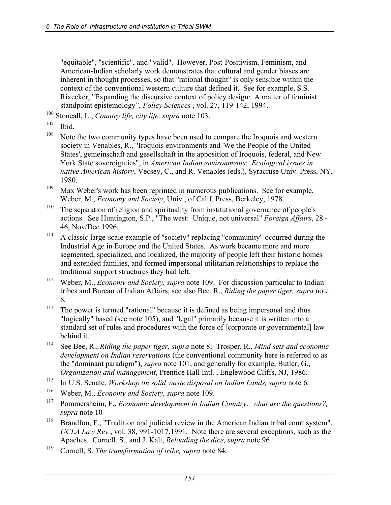"equitable", "scientific", and "valid". However, Post-Positivism, Feminism, and American-Indian scholarly work demonstrates that cultural and gender biases are inherent in thought processes, so that "rational thought" is only sensible within the context of the conventional western culture that defined it. See for example, S.S. Rixecker, "Expanding the discursive context of policy design: A matter of feminist standpoint epistemology", *Policy Sciences* , vol. 27, 119-142, 1994.

106 Stoneall, L., *Country life, city life, supra* note 103.

 $107$  Ibid.

- <sup>108</sup> Note the two community types have been used to compare the Iroquois and western society in Venables, R., "Iroquois environments and 'We the People of the United States', gemeinschaft and gesellschaft in the apposition of Iroquois, federal, and New York State sovereignties", in *American Indian environments*: *Ecological issues in native American history*, Vecsey, C., and R. Venables (eds.), Syracruse Univ. Press, NY, 1980.
- <sup>109</sup> Max Weber's work has been reprinted in numerous publications. See for example, Weber, M., *Economy and Society*, Univ., of Calif. Press, Berkeley, 1978.
- <sup>110</sup> The separation of religion and spirituality from institutional governance of people's actions. See Huntington, S.P., "The west: Unique, not universal" *Foreign Affairs*, 28 - 46, Nov/Dec 1996.
- <sup>111</sup> A classic large-scale example of "society" replacing "community" occurred during the Industrial Age in Europe and the United States. As work became more and more segmented, specialized, and localized, the majority of people left their historic homes and extended families, and formed impersonal utilitarian relationships to replace the traditional support structures they had left.
- 112 Weber, M., *Economy and Society, supra* note 109. For discussion particular to Indian tribes and Bureau of Indian Affairs, see also Bee, R., *Riding the paper tiger, supra* note 8*.*
- <sup>113</sup> The power is termed "rational" because it is defined as being impersonal and thus "logically" based (see note 105), and "legal" primarily because it is written into a standard set of rules and procedures with the force of [corporate or governmental] law behind it.
- 114 See Bee, R., *Riding the paper tiger, supra* note 8; Trosper, R., *Mind sets and economic development on Indian reservations* (the conventional community here is referred to as the "dominant paradigm"), *supra* note 101, and generally for example, Butler, G., *Organization and management*, Prentice Hall Intl. , Englewood Cliffs, NJ, 1986.
- 115 In U.S. Senate, *Workshop on solid waste disposal on Indian Lands, supra* note 6*.*
- 116 Weber, M., *Economy and Society, supra* note 109.
- 117 Pommersheim, F., *Economic development in Indian Country: what are the questions?, supra* note 10
- <sup>118</sup> Brandfon, F., "Tradition and judicial review in the American Indian tribal court system", *UCLA Law Rev.*, vol. 38, 991-1017,1991. Note there are several exceptions, such as the Apaches. Cornell, S., and J. Kalt, *Reloading the dice, supra* note 96*.*
- 119 Cornell, S. *The transformation of tribe, supra* note 84*.*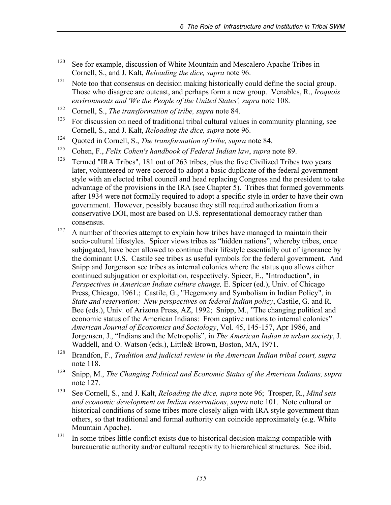- $120$  See for example, discussion of White Mountain and Mescalero Apache Tribes in Cornell, S., and J. Kalt, *Reloading the dice, supra* note 96.
- <sup>121</sup> Note too that consensus on decision making historically could define the social group. Those who disagree are outcast, and perhaps form a new group. Venables, R., *Iroquois environments and 'We the People of the United States', supra* note 108.
- 122 Cornell, S., *The transformation of tribe, supra* note 84.
- $123$  For discussion on need of traditional tribal cultural values in community planning, see Cornell, S., and J. Kalt, *Reloading the dice, supra* note 96.
- 124 Quoted in Cornell, S., *The transformation of tribe, supra* note 84.
- 125 Cohen, F., *Felix Cohen's handbook of Federal Indian law*, *supra* note 89.
- <sup>126</sup> Termed "IRA Tribes", 181 out of 263 tribes, plus the five Civilized Tribes two years later, volunteered or were coerced to adopt a basic duplicate of the federal government style with an elected tribal council and head replacing Congress and the president to take advantage of the provisions in the IRA (see Chapter 5). Tribes that formed governments after 1934 were not formally required to adopt a specific style in order to have their own government. However, possibly because they still required authorization from a conservative DOI, most are based on U.S. representational democracy rather than consensus.
- $127$  A number of theories attempt to explain how tribes have managed to maintain their socio-cultural lifestyles. Spicer views tribes as "hidden nations", whereby tribes, once subjugated, have been allowed to continue their lifestyle essentially out of ignorance by the dominant U.S. Castile see tribes as useful symbols for the federal government. And Snipp and Jorgenson see tribes as internal colonies where the status quo allows either continued subjugation or exploitation, respectively. Spicer, E., "Introduction", in *Perspectives in American Indian culture change,* E. Spicer (ed.), Univ. of Chicago Press, Chicago, 1961.; Castile, G., "Hegemony and Symbolism in Indian Policy", in *State and reservation: New perspectives on federal Indian policy*, Castile, G. and R. Bee (eds.), Univ. of Arizona Press, AZ, 1992; Snipp, M., "The changing political and economic status of the American Indians: From captive nations to internal colonies" *American Journal of Economics and Sociology*, Vol. 45, 145-157, Apr 1986, and Jorgensen, J., "Indians and the Metropolis", in *The American Indian in urban society*, J. Waddell, and O. Watson (eds.), Little& Brown, Boston, MA, 1971.
- 128 Brandfon, F., *Tradition and judicial review in the American Indian tribal court, supra*  note 118.
- 129 Snipp, M., *The Changing Political and Economic Status of the American Indians, supra*  note 127.
- 130 See Cornell, S., and J. Kalt, *Reloading the dice, supra* note 96; Trosper, R., *Mind sets and economic development on Indian reservations*, *supra* note 101. Note cultural or historical conditions of some tribes more closely align with IRA style government than others, so that traditional and formal authority can coincide approximately (e.g. White Mountain Apache).
- <sup>131</sup> In some tribes little conflict exists due to historical decision making compatible with bureaucratic authority and/or cultural receptivity to hierarchical structures. See ibid.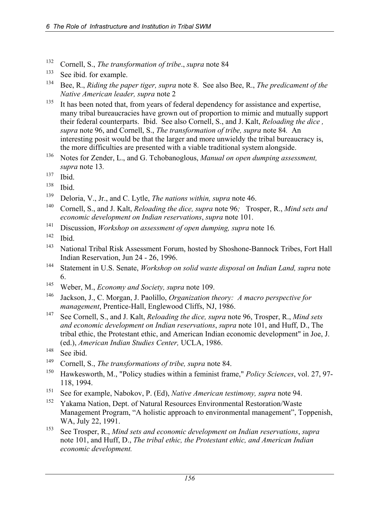- 132 Cornell, S., *The transformation of tribe*., *supra* note 84
- <sup>133</sup> See ibid. for example.
- 134 Bee, R., *Riding the paper tiger, supra* note 8. See also Bee, R., *The predicament of the Native American leader, supra* note 2
- <sup>135</sup> It has been noted that, from years of federal dependency for assistance and expertise, many tribal bureaucracies have grown out of proportion to mimic and mutually support their federal counterparts. Ibid. See also Cornell, S., and J. Kalt, *Reloading the dice , supra* note 96, and Cornell, S., *The transformation of tribe, supra* note 84*.* An interesting posit would be that the larger and more unwieldy the tribal bureaucracy is, the more difficulties are presented with a viable traditional system alongside.
- 136 Notes for Zender, L., and G. Tchobanoglous, *Manual on open dumping assessment, supra* note 13*.*
- 137 Ibid.
- 138 Ibid.
- 139 Deloria, V., Jr., and C. Lytle, *The nations within, supra* note 46.
- <sup>140</sup> Cornell, S., and J. Kalt, *Reloading the dice, supra* note 96*;* Trosper, R., *Mind sets and economic development on Indian reservations*, *supra* note 101.
- 141 Discussion, *Workshop on assessment of open dumping, supra* note 16*.* 142 Ibid.
- 
- 143 National Tribal Risk Assessment Forum, hosted by Shoshone-Bannock Tribes, Fort Hall Indian Reservation, Jun 24 - 26, 1996.
- 144 Statement in U.S. Senate, *Workshop on solid waste disposal on Indian Land, supra* note 6.
- 145 Weber, M., *Economy and Society, supra* note 109.
- 146 Jackson, J., C. Morgan, J. Paolillo, *Organization theory: A macro perspective for management*, Prentice-Hall, Englewood Cliffs, NJ, 1986.
- 147 See Cornell, S., and J. Kalt, *Reloading the dice, supra* note 96, Trosper, R., *Mind sets and economic development on Indian reservations*, *supra* note 101, and Huff, D., The tribal ethic, the Protestant ethic, and American Indian economic development" in Joe, J. (ed.), *American Indian Studies Center,* UCLA, 1986.

- 149 Cornell, S., *The transformations of tribe, supra* note 84.
- 150 Hawkesworth, M., "Policy studies within a feminist frame," *Policy Sciences*, vol. 27, 97- 118, 1994.
- 151 See for example, Nabokov, P. (Ed), *Native American testimony, supra* note 94.
- 152 Yakama Nation, Dept. of Natural Resources Environmental Restoration/Waste Management Program, "A holistic approach to environmental management", Toppenish, WA, July 22, 1991.
- 153 See Trosper, R., *Mind sets and economic development on Indian reservations*, *supra* note 101, and Huff, D., *The tribal ethic, the Protestant ethic, and American Indian economic development.*

<sup>&</sup>lt;sup>148</sup> See ibid.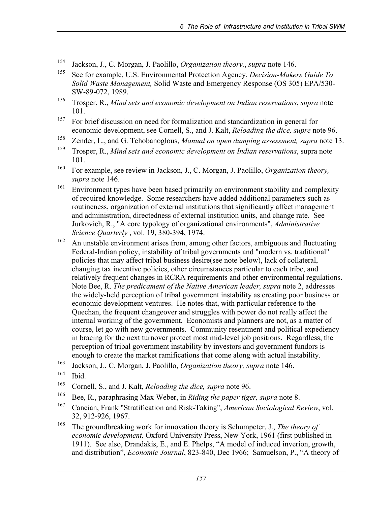- 154 Jackson, J., C. Morgan, J. Paolillo, *Organization theory.*, *supra* note 146.
- 155 See for example, U.S. Environmental Protection Agency, *Decision-Makers Guide To Solid Waste Management,* Solid Waste and Emergency Response (OS 305) EPA/530- SW-89-072, 1989.
- 156 Trosper, R., *Mind sets and economic development on Indian reservations*, *supra* note 101.
- <sup>157</sup> For brief discussion on need for formalization and standardization in general for economic development, see Cornell, S., and J. Kalt, *Reloading the dice, supre* note 96.
- 158 Zender, L., and G. Tchobanoglous, *Manual on open dumping assessment, supra* note 13.
- 159 Trosper, R., *Mind sets and economic development on Indian reservations*, supra note 101.
- 160 For example, see review in Jackson, J., C. Morgan, J. Paolillo, *Organization theory, supra* note 146.
- <sup>161</sup> Environment types have been based primarily on environment stability and complexity of required knowledge. Some researchers have added additional parameters such as routineness, organization of external institutions that significantly affect management and administration, directedness of external institution units, and change rate. See Jurkovich, R., "A core typology of organizational environments", *Administrative Science Quarterly* , vol. 19, 380-394, 1974.
- <sup>162</sup> An unstable environment arises from, among other factors, ambiguous and fluctuating Federal-Indian policy, instability of tribal governments and "modern vs. traditional" policies that may affect tribal business desire(see note below), lack of collateral, changing tax incentive policies, other circumstances particular to each tribe, and relatively frequent changes in RCRA requirements and other environmental regulations. Note Bee, R. *The predicament of the Native American leader, supra* note 2, addresses the widely-held perception of tribal government instability as creating poor business or economic development ventures. He notes that, with particular reference to the Quechan, the frequent changeover and struggles with power do not really affect the internal working of the government. Economists and planners are not, as a matter of course, let go with new governments. Community resentment and political expediency in bracing for the next turnover protect most mid-level job positions. Regardless, the perception of tribal government instability by investors and government fundors is enough to create the market ramifications that come along with actual instability.
- 163 Jackson, J., C. Morgan, J. Paolillo, *Organization theory, supra* note 146.
- 164 Ibid.
- 165 Cornell, S., and J. Kalt, *Reloading the dice, supra* note 96.
- 166 Bee, R., paraphrasing Max Weber, in *Riding the paper tiger, supra* note 8.
- 167 Cancian, Frank "Stratification and Risk-Taking", *American Sociological Review*, vol. 32, 912-926, 1967.
- 168 The groundbreaking work for innovation theory is Schumpeter, J., *The theory of economic development,* Oxford University Press, New York, 1961 (first published in 1911). See also, Drandakis, E., and E. Phelps, "A model of induced inverion, growth, and distribution", *Economic Journal*, 823-840, Dec 1966; Samuelson, P., "A theory of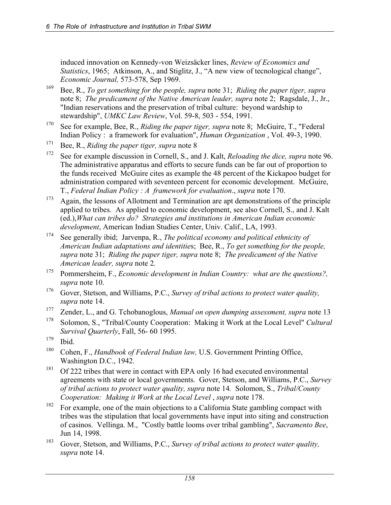induced innovation on Kennedy-von Weizsäcker lines, *Review of Economics and Statistics*, 1965; Atkinson, A., and Stiglitz, J., "A new view of tecnological change", *Economic Journal,* 573-578, Sep 1969.

- 169 Bee, R., *To get something for the people, supra* note 31; *Riding the paper tiger, supra*  note 8; *The predicament of the Native American leader, supra* note 2; Ragsdale, J., Jr., "Indian reservations and the preservation of tribal culture: beyond wardship to stewardship", *UMKC Law Review*, Vol. 59-8, 503 - 554, 1991.
- 170 See for example, Bee, R., *Riding the paper tiger, supra* note 8; McGuire, T., "Federal Indian Policy : a framework for evaluation", *Human Organization* , Vol. 49-3, 1990.
- 171 Bee, R., *Riding the paper tiger, supra* note 8
- 172 See for example discussion in Cornell, S., and J. Kalt, *Reloading the dice, supra* note 96. The administrative apparatus and efforts to secure funds can be far out of proportion to the funds receivedMcGuire cites as example the 48 percent of the Kickapoo budget for administration compared with seventeen percent for economic development. McGuire, T., *Federal Indian Policy : A framework for evaluation*., *supra* note 170.
- <sup>173</sup> Again, the lessons of Allotment and Termination are apt demonstrations of the principle applied to tribes. As applied to economic development, see also Cornell, S., and J. Kalt (ed.),*What can tribes do? Strategies and institutions in American Indian economic development*, American Indian Studies Center, Univ. Calif., LA, 1993.
- 174 See generally ibid; Jarvenpa, R., *The political economy and political ethnicity of American Indian adaptations and identitie*s; Bee, R., *To get something for the people, supra* note 31; *Riding the paper tiger, supra* note 8; *The predicament of the Native American leader, supra* note 2*.*
- 175 Pommersheim, F., *Economic development in Indian Country: what are the questions?, supra* note 10.
- 176 Gover, Stetson, and Williams, P.C., *Survey of tribal actions to protect water quality, supra* note 14.
- 177 Zender, L., and G. Tchobanoglous, *Manual on open dumping assessment, supra* note 13
- 178 Solomon, S., "Tribal/County Cooperation: Making it Work at the Local Level" *Cultural Survival Quarterly*, Fall, 56- 60 1995.
- 179 Ibid.
- 180 Cohen, F., *Handbook of Federal Indian law,* U.S. Government Printing Office, Washington D.C., 1942.
- <sup>181</sup> Of 222 tribes that were in contact with EPA only 16 had executed environmental agreements with state or local governments. Gover, Stetson, and Williams, P.C., *Survey of tribal actions to protect water quality, supra* note 14*.* Solomon, S., *Tribal/County Cooperation: Making it Work at the Local Level* , *supra* note 178.
- <sup>182</sup> For example, one of the main objections to a California State gambling compact with tribes was the stipulation that local governments have input into siting and construction of casinos. Vellinga. M., "Costly battle looms over tribal gambling", *Sacramento Bee*, Jun 14, 1998.
- 183 Gover, Stetson, and Williams, P.C., *Survey of tribal actions to protect water quality, supra* note 14.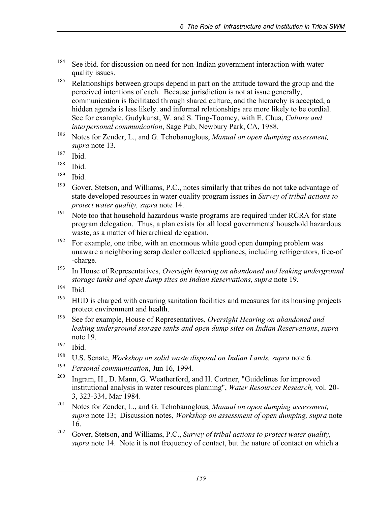- <sup>184</sup> See ibid. for discussion on need for non-Indian government interaction with water quality issues.
- <sup>185</sup> Relationships between groups depend in part on the attitude toward the group and the perceived intentions of each. Because jurisdiction is not at issue generally, communication is facilitated through shared culture, and the hierarchy is accepted, a hidden agenda is less likely. and informal relationships are more likely to be cordial. See for example, Gudykunst, W. and S. Ting-Toomey, with E. Chua, *Culture and interpersonal communication*, Sage Pub, Newbury Park, CA, 1988.
- 186 Notes for Zender, L., and G. Tchobanoglous, *Manual on open dumping assessment, supra* note 13*.*
- 187 Ibid.
- 188 Ibid.
- 189 Ibid.
- <sup>190</sup> Gover, Stetson, and Williams, P.C., notes similarly that tribes do not take advantage of state developed resources in water quality program issues in *Survey of tribal actions to protect water quality, supra* note 14.
- <sup>191</sup> Note too that household hazardous waste programs are required under RCRA for state program delegation. Thus, a plan exists for all local governments' household hazardous waste, as a matter of hierarchical delegation.
- <sup>192</sup> For example, one tribe, with an enormous white good open dumping problem was unaware a neighboring scrap dealer collected appliances, including refrigerators, free-of -charge.
- 193 In House of Representatives, *Oversight hearing on abandoned and leaking underground storage tanks and open dump sites on Indian Reservations*, *supra* note 19.
- 194 Ibid.
- <sup>195</sup> HUD is charged with ensuring sanitation facilities and measures for its housing projects protect environment and health.
- 196 See for example, House of Representatives, *Oversight Hearing on abandoned and leaking underground storage tanks and open dump sites on Indian Reservations*, *supra*  note 19.
- 197 Ibid.
- 198 U.S. Senate, *Workshop on solid waste disposal on Indian Lands, supra* note 6*.*
- <sup>199</sup> *Personal communication*, Jun 16, 1994.
- 200 Ingram, H., D. Mann, G. Weatherford, and H. Cortner, "Guidelines for improved institutional analysis in water resources planning", *Water Resources Research,* vol. 20- 3, 323-334, Mar 1984.
- 201 Notes for Zender, L., and G. Tchobanoglous, *Manual on open dumping assessment, supra* note 13; Discussion notes, *Workshop on assessment of open dumping, supra* note 16.
- 202 Gover, Stetson, and Williams, P.C., *Survey of tribal actions to protect water quality, supra* note 14. Note it is not frequency of contact, but the nature of contact on which a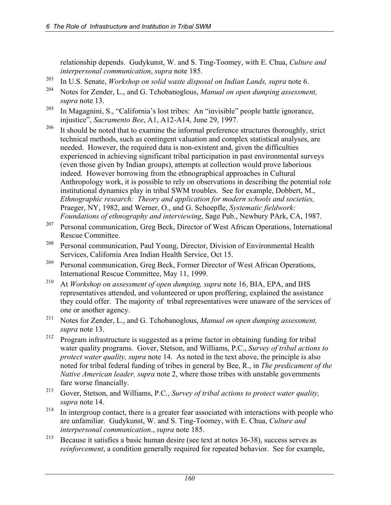relationship depends. Gudykunst, W. and S. Ting-Toomey, with E. Chua, *Culture and interpersonal communication*, *supra* note 185.

- 203 In U.S. Senate, *Workshop on solid waste disposal on Indian Lands, supra* note 6.
- 204 Notes for Zender, L., and G. Tchobanoglous, *Manual on open dumping assessment, supra* note 13.
- 205 In Magagnini, S., "California's lost tribes: An "invisible" people battle ignorance, injustice", *Sacramento Bee*, A1, A12-A14, June 29, 1997.
- <sup>206</sup> It should be noted that to examine the informal preference structures thoroughly, strict technical methods, such as contingent valuation and complex statistical analyses, are needed. However, the required data is non-existent and, given the difficulties experienced in achieving significant tribal participation in past environmental surveys (even those given by Indian groups), attempts at collection would prove laborious indeed. However borrowing from the ethnographical approaches in Cultural Anthropology work, it is possible to rely on observations in describing the potential role institutional dynamics play in tribal SWM troubles. See for example, Dobbert, M., *Ethnographic research: Theory and application for modern schools and societies,*  Praeger, NY, 1982, and Werner, O., and G. Schoepfle, *Systematic fieldwork: Foundations of ethnography and interviewing*, Sage Pub., Newbury PArk, CA, 1987.
- 207 Personal communication, Greg Beck, Director of West African Operations, International Rescue Committee.
- 208 Personal communication, Paul Young, Director, Division of Environmental Health Services, California Area Indian Health Service, Oct 15.
- 209 Personal communication, Greg Beck, Former Director of West African Operations, International Rescue Committee, May 11, 1999.
- <sup>210</sup> At *Workshop on assessment of open dumping, supra* note 16, BIA, EPA, and IHS representatives attended, and volunteered or upon proffering, explained the assistance they could offer. The majority of tribal representatives were unaware of the services of one or another agency.
- 211 Notes for Zender, L., and G. Tchobanoglous, *Manual on open dumping assessment, supra* note 13.
- 212 Program infrastructure is suggested as a prime factor in obtaining funding for tribal water quality programs. Gover, Stetson, and Williams, P.C., *Survey of tribal actions to protect water quality, supra* note 14. As noted in the text above, the principle is also noted for tribal federal funding of tribes in general by Bee, R., in *The predicament of the Native American leader, supra* note 2, where those tribes with unstable governments fare worse financially.
- 213 Gover, Stetson, and Williams, P.C., *Survey of tribal actions to protect water quality, supra* note 14.
- <sup>214</sup> In intergroup contact, there is a greater fear associated with interactions with people who are unfamiliar. Gudykunst, W. and S. Ting-Toomey, with E. Chua, *Culture and interpersonal communication*., *supra* note 185.
- <sup>215</sup> Because it satisfies a basic human desire (see text at notes  $36-38$ ), success serves as *reinforcement*, a condition generally required for repeated behavior. See for example,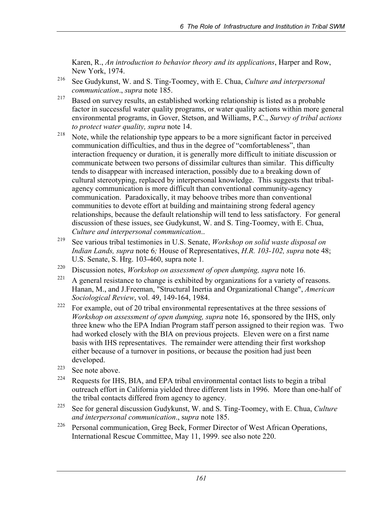Karen, R., *An introduction to behavior theory and its applications*, Harper and Row, New York, 1974.

- 216 See Gudykunst, W. and S. Ting-Toomey, with E. Chua, *Culture and interpersonal communication*., *supra* note 185.
- $217$  Based on survey results, an established working relationship is listed as a probable factor in successful water quality programs, or water quality actions within more general environmental programs, in Gover, Stetson, and Williams, P.C., *Survey of tribal actions to protect water quality, supra* note 14.
- <sup>218</sup> Note, while the relationship type appears to be a more significant factor in perceived communication difficulties, and thus in the degree of "comfortableness", than interaction frequency or duration, it is generally more difficult to initiate discussion or communicate between two persons of dissimilar cultures than similar. This difficulty tends to disappear with increased interaction, possibly due to a breaking down of cultural stereotyping, replaced by interpersonal knowledge. This suggests that tribalagency communication is more difficult than conventional community-agency communication. Paradoxically, it may behoove tribes more than conventional communities to devote effort at building and maintaining strong federal agency relationships, because the default relationship will tend to less satisfactory. For general discussion of these issues, see Gudykunst, W. and S. Ting-Toomey, with E. Chua,
- *Culture and interpersonal communication*.. 219 See various tribal testimonies in U.S. Senate, *Workshop on solid waste disposal on Indian Lands, supra* note 6*;* House of Representatives, *H.R. 103-102, supra* note 48; U.S. Senate, S. Hrg. 103-460, supra note 1*.*
- 220 Discussion notes, *Workshop on assessment of open dumping, supra* note 16.
- <sup>221</sup> A general resistance to change is exhibited by organizations for a variety of reasons. Hanan, M., and J.Freeman, "Structural Inertia and Organizational Change", *American Sociological Review*, vol. 49, 149-164, 1984.
- <sup>222</sup> For example, out of 20 tribal environmental representatives at the three sessions of *Workshop on assessment of open dumping, supra* note 16, sponsored by the IHS, only three knew who the EPA Indian Program staff person assigned to their region was. Two had worked closely with the BIA on previous projects. Eleven were on a first name basis with IHS representatives. The remainder were attending their first workshop either because of a turnover in positions, or because the position had just been developed.
- 223 See note above.
- $224$  Requests for IHS, BIA, and EPA tribal environmental contact lists to begin a tribal outreach effort in California yielded three different lists in 1996. More than one-half of the tribal contacts differed from agency to agency.
- 225 See for general discussion Gudykunst, W. and S. Ting-Toomey, with E. Chua, *Culture and interpersonal communication*., s*upra* note 185.
- 226 Personal communication, Greg Beck, Former Director of West African Operations, International Rescue Committee, May 11, 1999. see also note 220.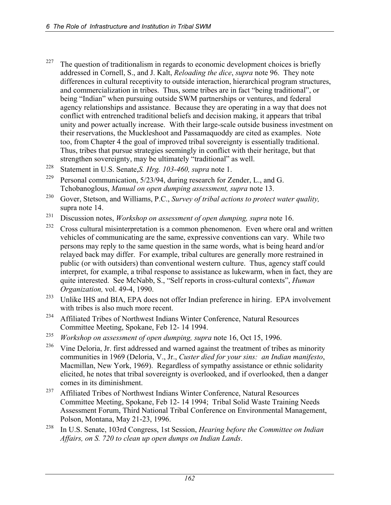- <sup>227</sup> The question of traditionalism in regards to economic development choices is briefly addressed in Cornell, S., and J. Kalt, *Reloading the dice*, *supra* note 96. They note differences in cultural receptivity to outside interaction, hierarchical program structures, and commercialization in tribes. Thus, some tribes are in fact "being traditional", or being "Indian" when pursuing outside SWM partnerships or ventures, and federal agency relationships and assistance. Because they are operating in a way that does not conflict with entrenched traditional beliefs and decision making, it appears that tribal unity and power actually increase. With their large-scale outside business investment on their reservations, the Muckleshoot and Passamaquoddy are cited as examples. Note too, from Chapter 4 the goal of improved tribal sovereignty is essentially traditional. Thus, tribes that pursue strategies seemingly in conflict with their heritage, but that strengthen sovereignty, may be ultimately "traditional" as well.
- 228 Statement in U.S. Senate,*S. Hrg. 103-460, supra* note 1.
- <sup>229</sup> Personal communication,  $5/23/94$ , during research for Zender, L., and G. Tchobanoglous, *Manual on open dumping assessment, supra* note 13.
- 230 Gover, Stetson, and Williams, P.C., *Survey of tribal actions to protect water quality,* supra note 14.
- 231 Discussion notes, *Workshop on assessment of open dumping, supra* note 16.
- $232$  Cross cultural misinterpretation is a common phenomenon. Even where oral and written vehicles of communicating are the same, expressive conventions can vary. While two persons may reply to the same question in the same words, what is being heard and/or relayed back may differ. For example, tribal cultures are generally more restrained in public (or with outsiders) than conventional western culture. Thus, agency staff could interpret, for example, a tribal response to assistance as lukewarm, when in fact, they are quite interested. See McNabb, S., "Self reports in cross-cultural contexts", *Human Organization,* vol. 49-4, 1990.
- <sup>233</sup> Unlike IHS and BIA, EPA does not offer Indian preference in hiring. EPA involvement with tribes is also much more recent.
- <sup>234</sup> Affiliated Tribes of Northwest Indians Winter Conference, Natural Resources Committee Meeting, Spokane, Feb 12- 14 1994.
- <sup>235</sup> *Workshop on assessment of open dumping, supra* note 16, Oct 15, 1996.<br><sup>236</sup> *Mine Delatie, Jr. first addressed and warned against the treatment of trib*
- Vine Deloria, Jr. first addressed and warned against the treatment of tribes as minority communities in 1969 (Deloria, V., Jr., *Custer died for your sins: an Indian manifesto*, Macmillan, New York, 1969). Regardless of sympathy assistance or ethnic solidarity elicited, he notes that tribal sovereignty is overlooked, and if overlooked, then a danger comes in its diminishment.
- <sup>237</sup> Affiliated Tribes of Northwest Indians Winter Conference, Natural Resources Committee Meeting, Spokane, Feb 12- 14 1994; Tribal Solid Waste Training Needs Assessment Forum, Third National Tribal Conference on Environmental Management, Polson, Montana, May 21-23, 1996.
- 238 In U.S. Senate, 103rd Congress, 1st Session, *Hearing before the Committee on Indian Affairs, on S. 720 to clean up open dumps on Indian Lands*.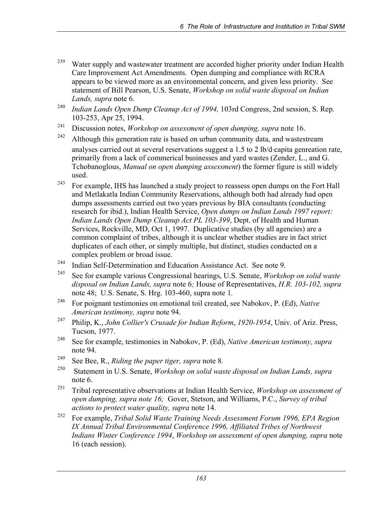- <sup>239</sup> Water supply and wastewater treatment are accorded higher priority under Indian Health Care Improvement Act Amendments. Open dumping and compliance with RCRA appears to be viewed more as an environmental concern, and given less priority. See statement of Bill Pearson, U.S. Senate, *Workshop on solid waste disposal on Indian Lands, supra* note 6*.*
- <sup>240</sup> *Indian Lands Open Dump Cleanup Act of 1994,* 103rd Congress, 2nd session, S. Rep. 103-253, Apr 25, 1994.
- 241 Discussion notes, *Workshop on assessment of open dumping, supra* note 16.
- $242$  Although this generation rate is based on urban community data, and wastestream analyses carried out at several reservations suggest a 1.5 to 2 lb/d.capita genreation rate, primarily from a lack of commerical businesses and yard wastes (Zender, L., and G. Tchobanoglous, *Manual on open dumping assessment*) the former figure is still widely used.
- <sup>243</sup> For example, IHS has launched a study project to reassess open dumps on the Fort Hall and Metlakatla Indian Community Reservations, although both had already had open dumps assessments carried out two years previous by BIA consultants (conducting research for ibid.), Indian Health Service, *Open dumps on Indian Lands 1997 report: Indian Lands Open Dump Cleanup Act PL 103-399*, Dept. of Health and Human Services, Rockville, MD, Oct 1, 1997. Duplicative studies (by all agencies) are a common complaint of tribes, although it is unclear whether studies are in fact strict duplicates of each other, or simply multiple, but distinct, studies conducted on a complex problem or broad issue.
- 244 Indian Self-Determination and Education Assistance Act. See note 9.
- 245 See for example various Congressional hearings, U.S. Senate, *Workshop on solid waste disposal on Indian Lands, supra* note 6*;* House of Representatives, *H.R. 103-102, supra* note 48; U.S. Senate, S. Hrg. 103-460, supra note 1*.*
- 246 For poignant testimonies on emotional toil created, see Nabokov, P. (Ed), *Native American testimony, supra* note 94.
- 247 Philip, K., *John Collier's Crusade for Indian Reform*, *1920-1954*, Univ. of Ariz. Press, Tucson, 1977.
- 248 See for example, testimonies in Nabokov, P. (Ed), *Native American testimony, supra*  note 94.
- 249 See Bee, R., *Riding the paper tiger, supra* note 8*.*
- 250 Statement in U.S. Senate, *Workshop on solid waste disposal on Indian Lands, supra* note 6.
- 251 Tribal representative observations at Indian Health Service, *Workshop on assessment of open dumping, supra note 16;* Gover, Stetson, and Williams, P.C., *Survey of tribal actions to protect water quality, supra* note 14.
- 252 For example, *Tribal Solid Waste Training Needs Assessment Forum 1996, EPA Region IX Annual Tribal Environmental Conference 1996, Affiliated Tribes of Northwest Indians Winter Conference 1994*, *Workshop on assessment of open dumping, supra* note 16 (each session).